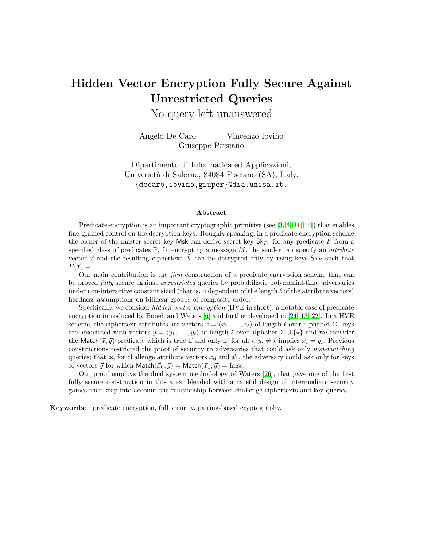# Hidden Vector Encryption Fully Secure Against Unrestricted Queries

No query left unanswered

Angelo De Caro Vincenzo Iovino Giuseppe Persiano

Dipartimento di Informatica ed Applicazioni, Universit`a di Salerno, 84084 Fisciano (SA), Italy. {decaro,iovino,giuper}@dia.unisa.it.

#### Abstract

Predicate encryption is an important cryptographic primitive (see  $[3, 6, 11, 14]$  $[3, 6, 11, 14]$  $[3, 6, 11, 14]$  $[3, 6, 11, 14]$ ) that enables fine-grained control on the decryption keys. Roughly speaking, in a predicate encryption scheme the owner of the master secret key Msk can derive secret key  $\mathsf{Sk}_P$ , for any predicate P from a specified class of predicates  $\mathbb{P}$ . In encrypting a message  $M$ , the sender can specify an *attribute* vector  $\vec{x}$  and the resulting ciphertext X can be decrypted only by using keys Sk<sub>P</sub> such that  $P(\vec{x}) = 1.$ 

Our main contribution is the first construction of a predicate encryption scheme that can be proved fully secure against unrestricted queries by probabilistic polynomial-time adversaries under non-interactive constant sized (that is, independent of the length  $\ell$  of the attribute vectors) hardness assumptions on bilinear groups of composite order.

Specifically, we consider *hidden vector encryption* (HVE in short), a notable case of predicate encryption introduced by Boneh and Waters [\[6\]](#page-14-1) and further developed in [\[24,](#page-16-0) [13,](#page-15-1) [22\]](#page-15-2). In a HVE scheme, the ciphertext attributes are vectors  $\vec{x} = \langle x_1, \ldots, x_\ell \rangle$  of length  $\ell$  over alphabet  $\Sigma$ , keys are associated with vectors  $\vec{y} = \langle y_1, \ldots, y_\ell \rangle$  of length  $\ell$  over alphabet  $\Sigma \cup {\star}$  and we consider the Match $(\vec{x}, \vec{y})$  predicate which is true if and only if, for all  $i, y_i \neq \star$  implies  $x_i = y_i$ . Previous constructions restricted the proof of security to adversaries that could ask only *non-matching* queries; that is, for challenge attribute vectors  $\vec{x}_0$  and  $\vec{x}_1$ , the adversary could ask only for keys of vectors  $\vec{y}$  for which Match $(\vec{x}_0, \vec{y}) =$  Match $(\vec{x}_1, \vec{y}) =$  false.

Our proof employs the dual system methodology of Waters [\[26\]](#page-16-1), that gave one of the first fully secure construction in this area, blended with a careful design of intermediate security games that keep into account the relationship between challenge ciphertexts and key queries.

Keywords: predicate encryption, full security, pairing-based cryptography.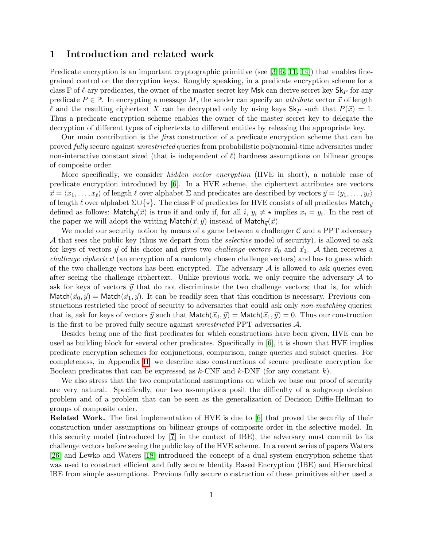### 1 Introduction and related work

Predicate encryption is an important cryptographic primitive (see  $[3, 6, 11, 14]$  $[3, 6, 11, 14]$  $[3, 6, 11, 14]$  $[3, 6, 11, 14]$ ) that enables finegrained control on the decryption keys. Roughly speaking, in a predicate encryption scheme for a class  $\mathbb P$  of  $\ell$ -ary predicates, the owner of the master secret key Msk can derive secret key Sk<sub>P</sub> for any predicate  $P \in \mathbb{P}$ . In encrypting a message M, the sender can specify an *attribute* vector  $\vec{x}$  of length l and the resulting ciphertext X can be decrypted only by using keys  $\mathsf{Sk}_P$  such that  $P(\vec{x}) = 1$ . Thus a predicate encryption scheme enables the owner of the master secret key to delegate the decryption of different types of ciphertexts to different entities by releasing the appropriate key.

Our main contribution is the first construction of a predicate encryption scheme that can be proved fully secure against unrestricted queries from probabilistic polynomial-time adversaries under non-interactive constant sized (that is independent of  $\ell$ ) hardness assumptions on bilinear groups of composite order.

More specifically, we consider *hidden vector encryption* (HVE in short), a notable case of predicate encryption introduced by [\[6\]](#page-14-1). In a HVE scheme, the ciphertext attributes are vectors  $\vec{x} = \langle x_1, \ldots, x_\ell \rangle$  of length  $\ell$  over alphabet  $\Sigma$  and predicates are described by vectors  $\vec{y} = \langle y_1, \ldots, y_\ell \rangle$ of length  $\ell$  over alphabet  $\Sigma \cup \{*\}$ . The class P of predicates for HVE consists of all predicates Match $_{\vec{v}}$ defined as follows: Match $_{\vec{y}}(\vec{x})$  is true if and only if, for all  $i, y_i \neq \star$  implies  $x_i = y_i$ . In the rest of the paper we will adopt the writing Match $(\vec{x}, \vec{y})$  instead of Match $\vec{y}(\vec{x})$ .

We model our security notion by means of a game between a challenger  $\mathcal C$  and a PPT adversary A that sees the public key (thus we depart from the *selective* model of security), is allowed to ask for keys of vectors  $\vec{y}$  of his choice and gives two *challenge vectors*  $\vec{x}_0$  and  $\vec{x}_1$ . A then receives a challenge ciphertext (an encryption of a randomly chosen challenge vectors) and has to guess which of the two challenge vectors has been encrypted. The adversary  $A$  is allowed to ask queries even after seeing the challenge ciphertext. Unlike previous work, we only require the adversary  $\mathcal A$  to ask for keys of vectors  $\vec{y}$  that do not discriminate the two challenge vectors; that is, for which  $\text{Match}(\vec{x}_0, \vec{y}) = \text{Match}(\vec{x}_1, \vec{y}).$  It can be readily seen that this condition is necessary. Previous constructions restricted the proof of security to adversaries that could ask only *non-matching* queries; that is, ask for keys of vectors  $\vec{y}$  such that Match $(\vec{x}_0, \vec{y}) = \text{Match}(\vec{x}_1, \vec{y}) = 0$ . Thus our construction is the first to be proved fully secure against unrestricted PPT adversaries A.

Besides being one of the first predicates for which constructions have been given, HVE can be used as building block for several other predicates. Specifically in [\[6\]](#page-14-1), it is shown that HVE implies predicate encryption schemes for conjunctions, comparison, range queries and subset queries. For completeness, in Appendix [H,](#page-28-0) we describe also constructions of secure predicate encryption for Boolean predicates that can be expressed as  $k$ -CNF and  $k$ -DNF (for any constant k).

We also stress that the two computational assumptions on which we base our proof of security are very natural. Specifically, our two assumptions posit the difficulty of a subgroup decision problem and of a problem that can be seen as the generalization of Decision Diffie-Hellman to groups of composite order.

Related Work. The first implementation of HVE is due to [\[6\]](#page-14-1) that proved the security of their construction under assumptions on bilinear groups of composite order in the selective model. In this security model (introduced by [\[7\]](#page-14-3) in the context of IBE), the adversary must commit to its challenge vectors before seeing the public key of the HVE scheme. In a recent series of papers Waters [\[26\]](#page-16-1) and Lewko and Waters [\[18\]](#page-15-3) introduced the concept of a dual system encryption scheme that was used to construct efficient and fully secure Identity Based Encryption (IBE) and Hierarchical IBE from simple assumptions. Previous fully secure construction of these primitives either used a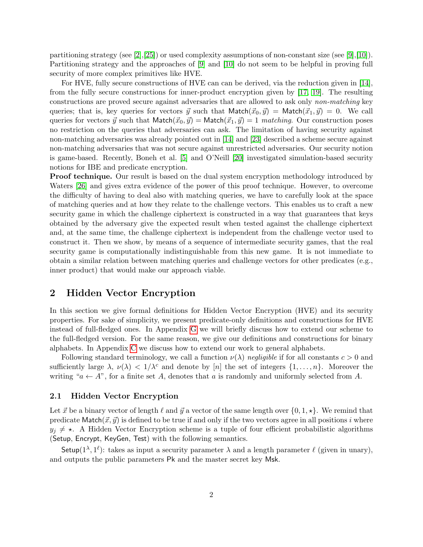partitioning strategy (see [\[2\]](#page-14-4), [\[25\]](#page-16-2)) or used complexity assumptions of non-constant size (see [\[9\]](#page-14-5), [\[10\]](#page-14-6)). Partitioning strategy and the approaches of [\[9\]](#page-14-5) and [\[10\]](#page-14-6) do not seem to be helpful in proving full security of more complex primitives like HVE.

For HVE, fully secure constructions of HVE can can be derived, via the reduction given in [\[14\]](#page-15-0), from the fully secure constructions for inner-product encryption given by [\[17,](#page-15-4) [19\]](#page-15-5). The resulting constructions are proved secure against adversaries that are allowed to ask only non-matching key queries; that is, key queries for vectors  $\vec{y}$  such that Match $(\vec{x}_0, \vec{y}) = \text{Match}(\vec{x}_1, \vec{y}) = 0$ . We call queries for vectors  $\vec{y}$  such that Match $(\vec{x}_0, \vec{y}) = \text{Match}(\vec{x}_1, \vec{y}) = 1$  matching. Our construction poses no restriction on the queries that adversaries can ask. The limitation of having security against non-matching adversaries was already pointed out in [\[14\]](#page-15-0) and [\[23\]](#page-15-6) described a scheme secure against non-matching adversaries that was not secure against unrestricted adversaries. Our security notion is game-based. Recently, Boneh et al. [\[5\]](#page-14-7) and O'Neill [\[20\]](#page-15-7) investigated simulation-based security notions for IBE and predicate encryption.

**Proof technique.** Our result is based on the dual system encryption methodology introduced by Waters [\[26\]](#page-16-1) and gives extra evidence of the power of this proof technique. However, to overcome the difficulty of having to deal also with matching queries, we have to carefully look at the space of matching queries and at how they relate to the challenge vectors. This enables us to craft a new security game in which the challenge ciphertext is constructed in a way that guarantees that keys obtained by the adversary give the expected result when tested against the challenge ciphertext and, at the same time, the challenge ciphertext is independent from the challenge vector used to construct it. Then we show, by means of a sequence of intermediate security games, that the real security game is computationally indistinguishable from this new game. It is not immediate to obtain a similar relation between matching queries and challenge vectors for other predicates (e.g., inner product) that would make our approach viable.

### 2 Hidden Vector Encryption

In this section we give formal definitions for Hidden Vector Encryption (HVE) and its security properties. For sake of simplicity, we present predicate-only definitions and constructions for HVE instead of full-fledged ones. In Appendix [G](#page-26-0) we will briefly discuss how to extend our scheme to the full-fledged version. For the same reason, we give our definitions and constructions for binary alphabets. In Appendix [C](#page-19-0) we discuss how to extend our work to general alphabets.

Following standard terminology, we call a function  $\nu(\lambda)$  negligible if for all constants  $c > 0$  and sufficiently large  $\lambda$ ,  $\nu(\lambda) < 1/\lambda^c$  and denote by [n] the set of integers  $\{1,\ldots,n\}$ . Moreover the writing " $a \leftarrow A$ ", for a finite set A, denotes that a is randomly and uniformly selected from A.

#### 2.1 Hidden Vector Encryption

Let  $\vec{x}$  be a binary vector of length  $\ell$  and  $\vec{y}$  a vector of the same length over  $\{0, 1, \star\}$ . We remind that predicate Match $(\vec{x}, \vec{y})$  is defined to be true if and only if the two vectors agree in all positions i where  $y_i \neq \star$ . A Hidden Vector Encryption scheme is a tuple of four efficient probabilistic algorithms (Setup, Encrypt, KeyGen, Test) with the following semantics.

Setup( $1^{\lambda}, 1^{\ell}$ ): takes as input a security parameter  $\lambda$  and a length parameter  $\ell$  (given in unary), and outputs the public parameters Pk and the master secret key Msk.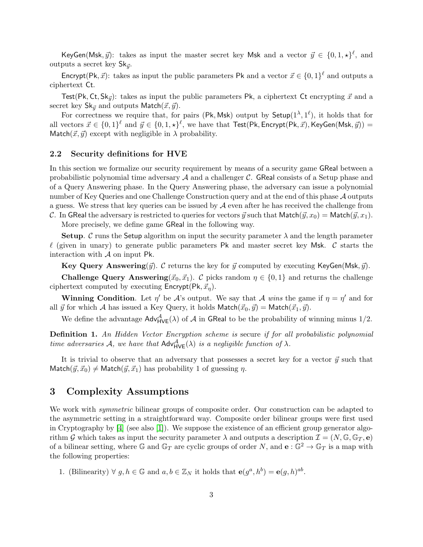KeyGen(Msk,  $\vec{y}$ ): takes as input the master secret key Msk and a vector  $\vec{y} \in \{0, 1, \star\}^{\ell}$ , and outputs a secret key  $\mathsf{Sk}_{\vec{y}}$ .

Encrypt(Pk,  $\vec{x}$ ): takes as input the public parameters Pk and a vector  $\vec{x} \in \{0,1\}^{\ell}$  and outputs a ciphertext Ct.

Test(Pk, Ct,  $\text{Sk}_{\vec{y}}$ ): takes as input the public parameters Pk, a ciphertext Ct encrypting  $\vec{x}$  and a secret key  $\mathsf{Sk}_{\vec{y}}$  and outputs Match $(\vec{x}, \vec{y})$ .

For correctness we require that, for pairs (Pk, Msk) output by  $\mathsf{Setup}(1^{\lambda},1^{\ell})$ , it holds that for all vectors  $\vec{x} \in \{0,1\}^{\ell}$  and  $\vec{y} \in \{0,1,\star\}^{\ell}$ , we have that  $\textsf{Test}(\textsf{Pk}, \textsf{Encrypt}(\textsf{Pk}, \vec{x}), \textsf{KeyGen}(\textsf{Msk}, \vec{y})) =$ Match( $\vec{x}, \vec{y}$ ) except with negligible in  $\lambda$  probability.

### 2.2 Security definitions for HVE

In this section we formalize our security requirement by means of a security game GReal between a probabilistic polynomial time adversary  $A$  and a challenger  $C$ . GReal consists of a Setup phase and of a Query Answering phase. In the Query Answering phase, the adversary can issue a polynomial number of Key Queries and one Challenge Construction query and at the end of this phase A outputs a guess. We stress that key queries can be issued by  $A$  even after he has received the challenge from C. In GReal the adversary is restricted to queries for vectors  $\vec{y}$  such that Match $(\vec{y}, x_0) = \text{Match}(\vec{y}, x_1)$ .

More precisely, we define game GReal in the following way.

**Setup.** C runs the Setup algorithm on input the security parameter  $\lambda$  and the length parameter  $\ell$  (given in unary) to generate public parameters Pk and master secret key Msk. C starts the interaction with  $A$  on input Pk.

**Key Query Answering** $(\vec{y})$ . C returns the key for  $\vec{y}$  computed by executing KeyGen(Msk,  $\vec{y}$ ).

**Challenge Query Answering** $(\vec{x}_0, \vec{x}_1)$ . C picks random  $\eta \in \{0, 1\}$  and returns the challenge ciphertext computed by executing  $\mathsf{Encrypt}(\mathsf{Pk}, \vec{x}_n)$ .

**Winning Condition.** Let  $\eta'$  be A's output. We say that A wins the game if  $\eta = \eta'$  and for all  $\vec{y}$  for which A has issued a Key Query, it holds Match $(\vec{x}_0, \vec{y}) =$  Match $(\vec{x}_1, \vec{y})$ .

We define the advantage  $\text{Adv}_{HVE}^{\mathcal{A}}(\lambda)$  of  $\mathcal{A}$  in GReal to be the probability of winning minus 1/2.

<span id="page-3-0"></span>Definition 1. An Hidden Vector Encryption scheme is secure if for all probabilistic polynomial time adversaries A, we have that  $Adv_{HVE}^{\mathcal{A}}(\lambda)$  is a negligible function of  $\lambda$ .

It is trivial to observe that an adversary that possesses a secret key for a vector  $\vec{y}$  such that Match $({\vec y}, {\vec x}_0) \neq \text{Match}({\vec y}, {\vec x}_1)$  has probability 1 of guessing  $\eta$ .

### <span id="page-3-1"></span>3 Complexity Assumptions

We work with *symmetric* bilinear groups of composite order. Our construction can be adapted to the asymmetric setting in a straightforward way. Composite order bilinear groups were first used in Cryptography by  $[4]$  (see also  $[1]$ ). We suppose the existence of an efficient group generator algorithm G which takes as input the security parameter  $\lambda$  and outputs a description  $\mathcal{I} = (N, \mathbb{G}, \mathbb{G}_T, e)$ of a bilinear setting, where G and  $\mathbb{G}_T$  are cyclic groups of order N, and  $e: \mathbb{G}^2 \to \mathbb{G}_T$  is a map with the following properties:

1. (Bilinearity)  $\forall g, h \in \mathbb{G}$  and  $a, b \in \mathbb{Z}_N$  it holds that  $\mathbf{e}(g^a, h^b) = \mathbf{e}(g, h)^{ab}$ .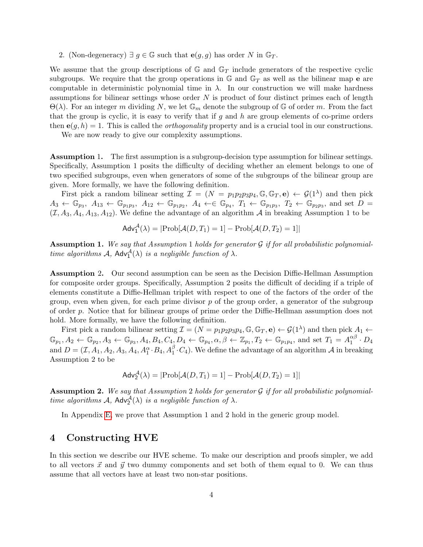2. (Non-degeneracy)  $\exists g \in \mathbb{G}$  such that  $e(g, g)$  has order N in  $\mathbb{G}_T$ .

We assume that the group descriptions of  $\mathbb{G}$  and  $\mathbb{G}_T$  include generators of the respective cyclic subgroups. We require that the group operations in  $\mathbb{G}$  and  $\mathbb{G}_T$  as well as the bilinear map e are computable in deterministic polynomial time in  $\lambda$ . In our construction we will make hardness assumptions for bilinear settings whose order  $N$  is product of four distinct primes each of length  $\Theta(\lambda)$ . For an integer m dividing N, we let  $\mathbb{G}_m$  denote the subgroup of G of order m. From the fact that the group is cyclic, it is easy to verify that if  $g$  and  $h$  are group elements of co-prime orders then  $e(q, h) = 1$ . This is called the *orthogonality* property and is a crucial tool in our constructions.

We are now ready to give our complexity assumptions.

Assumption 1. The first assumption is a subgroup-decision type assumption for bilinear settings. Specifically, Assumption 1 posits the difficulty of deciding whether an element belongs to one of two specified subgroups, even when generators of some of the subgroups of the bilinear group are given. More formally, we have the following definition.

First pick a random bilinear setting  $\mathcal{I} = (N = p_1p_2p_3p_4, \mathbb{G}, \mathbb{G}_T, e) \leftarrow \mathcal{G}(1^{\lambda})$  and then pick  $A_3 \leftarrow \mathbb{G}_{p_3}, A_{13} \leftarrow \mathbb{G}_{p_1p_3}, A_{12} \leftarrow \mathbb{G}_{p_1p_2}, A_4 \leftarrow \in \mathbb{G}_{p_4}, T_1 \leftarrow \mathbb{G}_{p_1p_3}, T_2 \leftarrow \mathbb{G}_{p_2p_3}$ , and set  $D =$  $(\mathcal{I}, A_3, A_4, A_{13}, A_{12})$ . We define the advantage of an algorithm A in breaking Assumption 1 to be

$$
Adv_1^{\mathcal{A}}(\lambda) = |Prob[\mathcal{A}(D, T_1) = 1] - Prob[\mathcal{A}(D, T_2) = 1]|
$$

**Assumption 1.** We say that Assumption 1 holds for generator  $\mathcal G$  if for all probabilistic polynomialtime algorithms  $A$ ,  $Adv_1^{\mathcal{A}}(\lambda)$  is a negligible function of  $\lambda$ .

Assumption 2. Our second assumption can be seen as the Decision Diffie-Hellman Assumption for composite order groups. Specifically, Assumption 2 posits the difficult of deciding if a triple of elements constitute a Diffie-Hellman triplet with respect to one of the factors of the order of the group, even when given, for each prime divisor  $p$  of the group order, a generator of the subgroup of order p. Notice that for bilinear groups of prime order the Diffie-Hellman assumption does not hold. More formally, we have the following definition.

First pick a random bilinear setting  $\mathcal{I} = (N = p_1p_2p_3p_4, \mathbb{G}, \mathbb{G}_T, \mathbf{e}) \leftarrow \mathcal{G}(1^{\lambda})$  and then pick  $A_1 \leftarrow$  $\mathbb{G}_{p_1}, A_2 \leftarrow \mathbb{G}_{p_2}, A_3 \leftarrow \mathbb{G}_{p_3}, A_4, B_4, C_4, D_4 \leftarrow \mathbb{G}_{p_4}, \alpha, \beta \leftarrow \mathbb{Z}_{p_1}, T_2 \leftarrow \mathbb{G}_{p_1p_4}, \text{ and set } T_1 = A_1^{\alpha\beta}$  $\frac{\alpha\beta}{1}\cdot D_4$ and  $D=(\mathcal{I}, A_1, A_2, A_3, A_4, A_1^{\alpha} \cdot B_4, A_1^{\beta} \cdot C_4)$ . We define the advantage of an algorithm  $\mathcal{A}$  in breaking Assumption 2 to be

$$
Adv_2^{\mathcal{A}}(\lambda) = |\text{Prob}[\mathcal{A}(D, T_1) = 1] - \text{Prob}[\mathcal{A}(D, T_2) = 1]|
$$

**Assumption 2.** We say that Assumption 2 holds for generator  $\mathcal G$  if for all probabilistic polynomialtime algorithms  $A$ ,  $Adv_2^{\mathcal{A}}(\lambda)$  is a negligible function of  $\lambda$ .

In Appendix [E,](#page-20-0) we prove that Assumption 1 and 2 hold in the generic group model.

### <span id="page-4-0"></span>4 Constructing HVE

In this section we describe our HVE scheme. To make our description and proofs simpler, we add to all vectors  $\vec{x}$  and  $\vec{y}$  two dummy components and set both of them equal to 0. We can thus assume that all vectors have at least two non-star positions.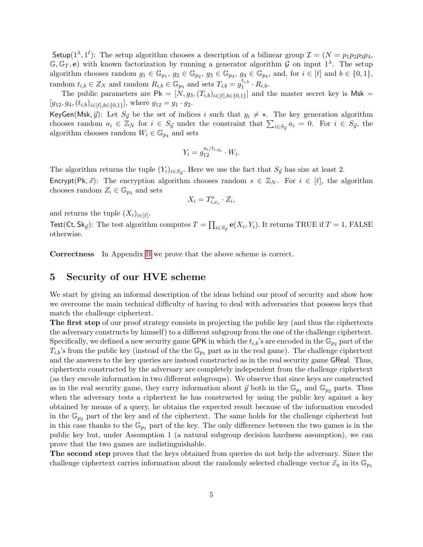Setup( $1^{\lambda}, 1^{\ell}$ ): The setup algorithm chooses a description of a bilinear group  $\mathcal{I} = (N = p_1 p_2 p_3 p_4,$  $\mathbb{G}, \mathbb{G}_T, e$  with known factorization by running a generator algorithm G on input 1<sup> $\lambda$ </sup>. The setup algorithm chooses random  $g_1 \in \mathbb{G}_{p_1}$ ,  $g_2 \in \mathbb{G}_{p_2}$ ,  $g_3 \in \mathbb{G}_{p_3}$ ,  $g_4 \in \mathbb{G}_{p_4}$ , and, for  $i \in [\ell]$  and  $b \in \{0, 1\}$ , random  $t_{i,b} \in Z_N$  and random  $R_{i,b} \in \mathbb{G}_{p_3}$  and sets  $T_{i,b} = g_1^{t_{i,b}}$  $i_1^{i,b} \cdot R_{i,b}.$ 

The public parameters are  $\mathsf{Pk} = [N, g_3, (T_{i,b})_{i \in [\ell], b \in \{0,1\}}]$  and the master secret key is Msk =  $[g_{12}, g_4, (t_{i,b})_{i \in [\ell], b \in \{0,1\}}]$ , where  $g_{12} = g_1 \cdot g_2$ .

KeyGen(Msk,  $\vec{y}$ ): Let  $S_{\vec{y}}$  be the set of indices i such that  $y_i \neq \star$ . The key generation algorithm chooses random  $a_i \in \mathbb{Z}_N$  for  $i \in S_{\vec{y}}$  under the constraint that  $\sum_{i \in S_{\vec{y}}} a_i = 0$ . For  $i \in S_{\vec{y}}$ , the algorithm chooses random  $W_i \in \mathbb{G}_{p_4}$  and sets

$$
Y_i = g_{12}^{a_i/t_{i,y_i}} \cdot W_i.
$$

The algorithm returns the tuple  $(Y_i)_{i \in S_{\vec{y}}}$ . Here we use the fact that  $S_{\vec{y}}$  has size at least 2.

**Encrypt**(Pk,  $\vec{x}$ ): The encryption algorithm chooses random  $s \in \mathbb{Z}_N$ . For  $i \in [\ell]$ , the algorithm chooses random  $Z_i \in \mathbb{G}_{p_3}$  and sets

$$
X_i = T_{i,x_i}^s \cdot Z_i,
$$

and returns the tuple  $(X_i)_{i \in [\ell]}$ .

 ${\sf Test}({\sf Ct}, {\sf Sk}_{\vec y})$ : The test algorithm computes  $T = \prod_{i \in S_{\vec y}} {\bf e}(X_i, Y_i).$  It returns TRUE if  $T = 1,$  FALSE otherwise.

Correctness In Appendix [B](#page-17-0) we prove that the above scheme is correct.

### 5 Security of our HVE scheme

We start by giving an informal description of the ideas behind our proof of security and show how we overcome the main technical difficulty of having to deal with adversaries that possess keys that match the challenge ciphertext.

The first step of our proof strategy consists in projecting the public key (and thus the ciphertexts the adversary constructs by himself) to a different subgroup from the one of the challenge ciphertext. Specifically, we defined a new security game GPK in which the  $t_{i,b}$ 's are encoded in the  $\mathbb{G}_{p_2}$  part of the  $T_{i,b}$ 's from the public key (instead of the the  $\mathbb{G}_{p_1}$  part as in the real game). The challenge ciphertext and the answers to the key queries are instead constructed as in the real security game GReal. Thus, ciphertexts constructed by the adversary are completely independent from the challenge ciphertext (as they encode information in two different subgroups). We observe that since keys are constructed as in the real security game, they carry information about  $\vec{y}$  both in the  $\mathbb{G}_{p_1}$  and  $\mathbb{G}_{p_2}$  parts. Thus when the adversary tests a ciphertext he has constructed by using the public key against a key obtained by means of a query, he obtains the expected result because of the information encoded in the  $\mathbb{G}_{p_2}$  part of the key and of the ciphertext. The same holds for the challenge ciphertext but in this case thanks to the  $\mathbb{G}_{p_1}$  part of the key. The only difference between the two games is in the public key but, under Assumption 1 (a natural subgroup decision hardness assumption), we can prove that the two games are indistinguishable.

The second step proves that the keys obtained from queries do not help the adversary. Since the challenge ciphertext carries information about the randomly selected challenge vector  $\vec{x}_{\eta}$  in its  $\mathbb{G}_{p_1}$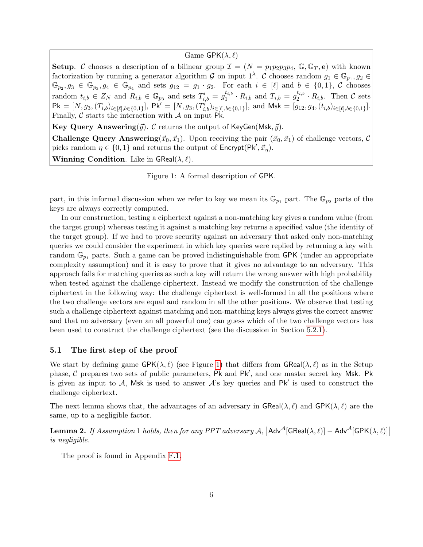### Game  $\mathsf{GPK}(\lambda, \ell)$

Setup. C chooses a description of a bilinear group  $\mathcal{I} = (N = p_1p_2p_3p_4, \mathbb{G}, \mathbb{G}_T, e)$  with known factorization by running a generator algorithm G on input  $1^{\lambda}$ . C chooses random  $g_1 \in \mathbb{G}_{p_1}, g_2 \in$  $\mathbb{G}_{p_2}, g_3 \in \mathbb{G}_{p_3}, g_4 \in \mathbb{G}_{p_4}$  and sets  $g_{12} = g_1 \cdot g_2$ . For each  $i \in [\ell]$  and  $b \in \{0,1\},\ \mathcal{C}$  chooses random  $t_{i,b} \in Z_N$  and  $R_{i,b} \in \mathbb{G}_{p_3}$  and sets  $T'_{i,b} = g_1^{t_{i,b}}$  $t_{i,b}$   $\cdot$   $R_{i,b}$  and  $T_{i,b} = g_2^{t_{i,b}}$  $e^{i_{i,b}}_{2} \cdot R_{i,b}$ . Then C sets  $\mathsf{Pk} = [N, g_3, (T_{i,b})_{i \in [\ell], b \in \{0,1\}}], \; \mathsf{Pk}' = [N, g_3, (T'_{i,b})_{i \in [\ell], b \in \{0,1\}}], \text{ and } \mathsf{Msk} = [g_{12}, g_4, (t_{i,b})_{i \in [\ell], b \in \{0,1\}}].$ Finally,  $\mathcal C$  starts the interaction with  $\mathcal A$  on input Pk.

**Key Query Answering** $(\vec{y})$ . C returns the output of KeyGen(Msk,  $\vec{y}$ ).

**Challenge Query Answering** $(\vec{x}_0, \vec{x}_1)$ . Upon receiving the pair  $(\vec{x}_0, \vec{x}_1)$  of challenge vectors, C picks random  $\eta \in \{0, 1\}$  and returns the output of  $\mathsf{Encrypt}(\mathsf{Pk}', \vec{x}_{\eta}).$ Winning Condition. Like in  $\mathsf{GReal}(\lambda, \ell)$ .

<span id="page-6-0"></span>Figure 1: A formal description of GPK.

part, in this informal discussion when we refer to key we mean its  $\mathbb{G}_{p_1}$  part. The  $\mathbb{G}_{p_2}$  parts of the keys are always correctly computed.

In our construction, testing a ciphertext against a non-matching key gives a random value (from the target group) whereas testing it against a matching key returns a specified value (the identity of the target group). If we had to prove security against an adversary that asked only non-matching queries we could consider the experiment in which key queries were replied by returning a key with random  $\mathbb{G}_{p_1}$  parts. Such a game can be proved indistinguishable from GPK (under an appropriate complexity assumption) and it is easy to prove that it gives no advantage to an adversary. This approach fails for matching queries as such a key will return the wrong answer with high probability when tested against the challenge ciphertext. Instead we modify the construction of the challenge ciphertext in the following way: the challenge ciphertext is well-formed in all the positions where the two challenge vectors are equal and random in all the other positions. We observe that testing such a challenge ciphertext against matching and non-matching keys always gives the correct answer and that no adversary (even an all powerful one) can guess which of the two challenge vectors has been used to construct the challenge ciphertext (see the discussion in Section [5.2.1\)](#page-7-0).

#### 5.1 The first step of the proof

We start by defining game  $\mathsf{GPK}(\lambda, \ell)$  (see Figure [1\)](#page-6-0) that differs from  $\mathsf{GReal}(\lambda, \ell)$  as in the Setup phase,  $C$  prepares two sets of public parameters, Pk and Pk', and one master secret key Msk. Pk is given as input to A, Msk is used to answer  $A$ 's key queries and Pk' is used to construct the challenge ciphertext.

The next lemma shows that, the advantages of an adversary in  $\text{GReal}(\lambda, \ell)$  and  $\text{GPK}(\lambda, \ell)$  are the same, up to a negligible factor.

<span id="page-6-1"></span>**Lemma 2.** If Assumption 1 holds, then for any PPT adversary  $A$ ,  $|$ Adv<sup>A</sup>[GReal $(\lambda, \ell)|$  – Adv<sup>A</sup>[GPK $(\lambda, \ell)|$ ] is negligible.

The proof is found in Appendix [F.1.](#page-21-0)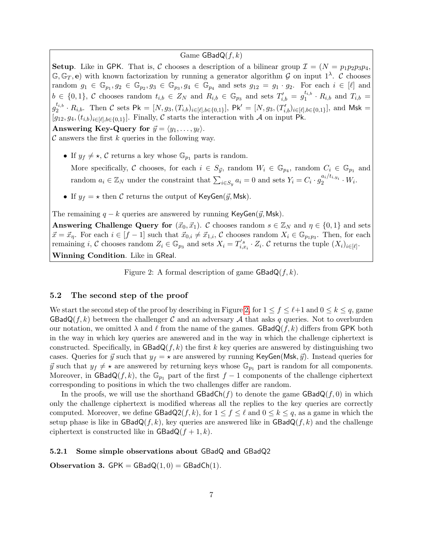### Game  $\textsf{GBadQ}(f, k)$

**Setup.** Like in GPK. That is, C chooses a description of a bilinear group  $\mathcal{I} = (N = p_1p_2p_3p_4,$  $\mathbb{G}, \mathbb{G}_T, e$  with known factorization by running a generator algorithm G on input  $1^{\lambda}$ . C chooses random  $g_1 \in \mathbb{G}_{p_1}, g_2 \in \mathbb{G}_{p_2}, g_3 \in \mathbb{G}_{p_3}, g_4 \in \mathbb{G}_{p_4}$  and sets  $g_{12} = g_1 \cdot g_2$ . For each  $i \in [\ell]$  and  $b \in \{0,1\},\ \mathcal{C}$  chooses random  $t_{i,b} \in Z_N$  and  $R_{i,b} \in \mathbb{G}_{p_3}$  and sets  $T'_{i,b} = g_1^{t_{i,b}}$  $i_{i,b}$   $\cdot$   $R_{i,b}$  and  $T_{i,b}$  =  $g_2^{t_{i,b}}$  $\mathcal{L}_{2}^{t_{i,b}} \cdot R_{i,b}$ . Then C sets Pk =  $[N, g_3, (T_{i,b})_{i \in [\ell], b \in \{0,1\}}]$ , Pk' =  $[N, g_3, (T'_{i,b})_{i \in [\ell], b \in \{0,1\}}]$ , and Msk =  $[g_{12}, g_4, (t_{i,b})_{i\in[\ell],b\in\{0,1\}}]$ . Finally, C starts the interaction with A on input Pk.

Answering Key-Query for  $\vec{y} = \langle y_1, \ldots, y_\ell \rangle$ .

 $\mathcal C$  answers the first k queries in the following way.

• If  $y_f \neq \star$ , C returns a key whose  $\mathbb{G}_{p_1}$  parts is random.

More specifically, C chooses, for each  $i \in S_{\vec{y}}$ , random  $W_i \in \mathbb{G}_{p_4}$ , random  $C_i \in \mathbb{G}_{p_1}$  and random  $a_i \in \mathbb{Z}_N$  under the constraint that  $\sum_{i \in S_y} a_i = 0$  and sets  $Y_i = C_i \cdot g_2^{a_i/t_{i,y_i}} \cdot W_i$ .

• If  $y_f = \star$  then C returns the output of KeyGen( $\vec{y}$ , Msk).

The remaining  $q - k$  queries are answered by running KeyGen( $\vec{y}$ , Msk).

Answering Challenge Query for  $(\vec{x}_0, \vec{x}_1)$ . C chooses random  $s \in \mathbb{Z}_N$  and  $\eta \in \{0, 1\}$  and sets  $\vec{x} = \vec{x}_\eta$ . For each  $i \in [f-1]$  such that  $\vec{x}_{0,i} \neq \vec{x}_{1,i}$ , C chooses random  $X_i \in \mathbb{G}_{p_1p_3}$ . Then, for each remaining *i*, C chooses random  $Z_i \in \mathbb{G}_{p_3}$  and sets  $X_i = T'_{i,x_i} \cdot Z_i$ . C returns the tuple  $(X_i)_{i \in [\ell]}$ . Winning Condition. Like in GReal.

<span id="page-7-1"></span>Figure 2: A formal description of game  $\textsf{GBadQ}(f, k)$ .

### 5.2 The second step of the proof

We start the second step of the proof by describing in Figure [2,](#page-7-1) for  $1 \le f \le \ell+1$  and  $0 \le k \le q$ , game  $\text{GBadQ}(f, k)$  between the challenger C and an adversary A that asks q queries. Not to overburden our notation, we omitted  $\lambda$  and  $\ell$  from the name of the games. GBadQ(f, k) differs from GPK both in the way in which key queries are answered and in the way in which the challenge ciphertext is constructed. Specifically, in  $\text{GBadQ}(f, k)$  the first k key queries are answered by distinguishing two cases. Queries for  $\vec{y}$  such that  $y_f = \star$  are answered by running KeyGen(Msk,  $\vec{y}$ ). Instead queries for  $\vec{y}$  such that  $y_f \neq \star$  are answered by returning keys whose  $\mathbb{G}_{p_1}$  part is random for all components. Moreover, in GBadQ(f, k), the  $\mathbb{G}_{p_1}$  part of the first f – 1 components of the challenge ciphertext corresponding to positions in which the two challenges differ are random.

In the proofs, we will use the shorthand  $\text{GBadCh}(f)$  to denote the game  $\text{GBadQ}(f, 0)$  in which only the challenge ciphertext is modified whereas all the replies to the key queries are correctly computed. Moreover, we define  $\text{GBadQ2}(f, k)$ , for  $1 \leq f \leq \ell$  and  $0 \leq k \leq q$ , as a game in which the setup phase is like in  $\text{GBadQ}(f, k)$ , key queries are answered like in  $\text{GBadQ}(f, k)$  and the challenge ciphertext is constructed like in  $\textsf{GBadQ}(f+1,k)$ .

#### <span id="page-7-0"></span>5.2.1 Some simple observations about GBadQ and GBadQ2

<span id="page-7-2"></span>Observation 3.  $GPK = GBadQ(1,0) = GBadCh(1)$ .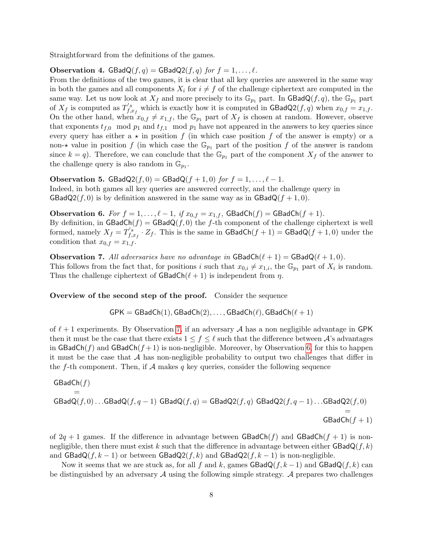Straightforward from the definitions of the games.

**Observation 4.** GBadQ(f, q) = GBadQ2(f, q) for  $f = 1, ..., \ell$ .

From the definitions of the two games, it is clear that all key queries are answered in the same way in both the games and all components  $X_i$  for  $i \neq f$  of the challenge ciphertext are computed in the same way. Let us now look at  $X_f$  and more precisely to its  $\mathbb{G}_{p_1}$  part. In GBadQ(f, q), the  $\mathbb{G}_{p_1}$  part of  $X_f$  is computed as  $T'_{f,s}$  $f_{,x_f}^{s}$  which is exactly how it is computed in  $\textsf{GBadQ2}(f,q)$  when  $x_{0,f} = x_{1,f}$ . On the other hand, when  $x_{0,f} \neq x_{1,f}$ , the  $\mathbb{G}_{p_1}$  part of  $X_f$  is chosen at random. However, observe that exponents  $t_{f,0}$  mod  $p_1$  and  $t_{f,1}$  mod  $p_1$  have not appeared in the answers to key queries since every query has either a  $\star$  in position f (in which case position f of the answer is empty) or a non- $\star$  value in position f (in which case the  $\mathbb{G}_{p_1}$  part of the position f of the answer is random since  $k = q$ ). Therefore, we can conclude that the  $\mathbb{G}_{p_1}$  part of the component  $X_f$  of the answer to the challenge query is also random in  $\mathbb{G}_{p_1}$ .

<span id="page-8-2"></span>**Observation 5.** GBadQ2(f, 0) = GBadQ(f + 1, 0) for  $f = 1, ..., \ell - 1$ .

Indeed, in both games all key queries are answered correctly, and the challenge query in  $\text{GBadQ2}(f, 0)$  is by definition answered in the same way as in  $\text{GBadQ}(f + 1, 0)$ .

<span id="page-8-1"></span>**Observation 6.** For  $f = 1, ..., \ell - 1$ , if  $x_{0,f} = x_{1,f}$ , GBadCh(f) = GBadCh(f+1). By definition, in  $\textsf{GBadCh}(f) = \textsf{GBadQ}(f, 0)$  the f-th component of the challenge ciphertext is well formed, namely  $X_f = T'_{f,s}$  $f_{f,x_f}^{'s} \cdot Z_f$ . This is the same in  $\mathsf{GBadCh}(f+1) = \mathsf{GBadQ}(f+1,0)$  under the condition that  $x_{0,f} = x_{1,f}$ .

<span id="page-8-0"></span>**Observation 7.** All adversaries have no advantage in  $GBadCh(\ell + 1) = GBadQ(\ell + 1, 0)$ . This follows from the fact that, for positions i such that  $x_{0,i} \neq x_{1,i}$ , the  $\mathbb{G}_{p_1}$  part of  $X_i$  is random. Thus the challenge ciphertext of  $\mathsf{GBadCh}(\ell + 1)$  is independent from  $\eta$ .

Overview of the second step of the proof. Consider the sequence

$$
\mathsf{GPK} = \mathsf{GBadCh}(1), \mathsf{GBadCh}(2), \ldots, \mathsf{GBadCh}(\ell), \mathsf{GBadCh}(\ell+1)
$$

of  $\ell + 1$  experiments. By Observation [7,](#page-8-0) if an adversary A has a non negligible advantage in GPK then it must be the case that there exists  $1 \le f \le \ell$  such that the difference between A's advantages in GBadCh(f) and GBadCh( $f + 1$ ) is non-negligible. Moreover, by Observation [6,](#page-8-1) for this to happen it must be the case that  $A$  has non-negligible probability to output two challenges that differ in the f-th component. Then, if  $A$  makes q key queries, consider the following sequence

$$
\begin{aligned} \mathsf{GBadCh}(f) &= \\ &= \\ \mathsf{GBadQ}(f,0) \dots \mathsf{GBadQ}(f,q-1) \ \ \mathsf{GBadQ}(f,q) = \mathsf{GBadQ2}(f,q) \ \ \mathsf{GBadQ2}(f,q-1) \dots \mathsf{GBadQ2}(f,0) \\ &= \\ &= \\ \mathsf{GBadCh}(f+1) \end{aligned}
$$

of  $2q + 1$  games. If the difference in advantage between GBadCh(f) and GBadCh(f + 1) is nonnegligible, then there must exist k such that the difference in advantage between either  $\mathsf{GBadQ}(f, k)$ and  $\text{GBadQ}(f, k-1)$  or between  $\text{GBadQ2}(f, k)$  and  $\text{GBadQ2}(f, k-1)$  is non-negligible.

Now it seems that we are stuck as, for all f and k, games  $\text{GBadQ}(f, k-1)$  and  $\text{GBadQ}(f, k)$  can be distinguished by an adversary  $A$  using the following simple strategy.  $A$  prepares two challenges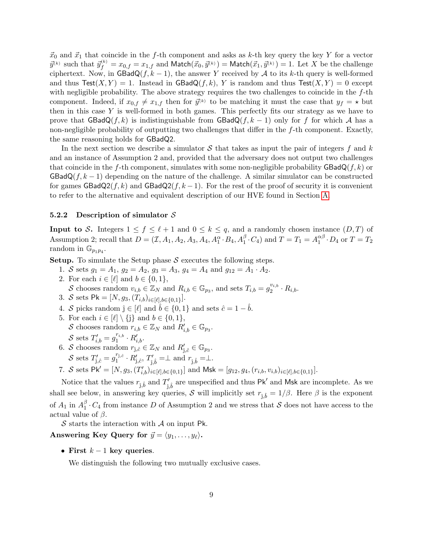$\vec{x}_0$  and  $\vec{x}_1$  that coincide in the f-th component and asks as k-th key query the key Y for a vector  $\vec{y}^{(k)}$  such that  $\vec{y}_{f}^{(k)} = x_{0,f} = x_{1,f}$  and  $\mathsf{Match}(\vec{x}_0, \vec{y}^{(k)}) = \mathsf{Match}(\vec{x}_1, \vec{y}^{(k)}) = 1.$  Let  $X$  be the challenge ciphertext. Now, in  $\textsf{GBadQ}(f, k-1)$ , the answer Y received by A to its k-th query is well-formed and thus  $\text{Test}(X, Y) = 1$ . Instead in  $\text{GBadQ}(f, k)$ , Y is random and thus  $\text{Test}(X, Y) = 0$  except with negligible probability. The above strategy requires the two challenges to coincide in the f-th component. Indeed, if  $x_{0,f} \neq x_{1,f}$  then for  $\vec{y}^{(k)}$  to be matching it must the case that  $y_f = \star$  but then in this case  $Y$  is well-formed in both games. This perfectly fits our strategy as we have to prove that  $\text{GBadQ}(f, k)$  is indistinguishable from  $\text{GBadQ}(f, k-1)$  only for f for which A has a non-negligible probability of outputting two challenges that differ in the f-th component. Exactly, the same reasoning holds for GBadQ2.

In the next section we describe a simulator  $S$  that takes as input the pair of integers f and k and an instance of Assumption 2 and, provided that the adversary does not output two challenges that coincide in the f-th component, simulates with some non-negligible probability  $\mathsf{GBadQ}(f, k)$  or  $\text{GBadQ}(f, k-1)$  depending on the nature of the challenge. A similar simulator can be constructed for games  $\text{GBadQ2}(f, k)$  and  $\text{GBadQ2}(f, k - 1)$ . For the rest of the proof of security it is convenient to refer to the alternative and equivalent description of our HVE found in Section [A.](#page-17-1)

#### 5.2.2 Description of simulator  $S$

**Input to S.** Integers  $1 \le f \le \ell + 1$  and  $0 \le k \le q$ , and a randomly chosen instance  $(D, T)$  of Assumption 2; recall that  $D = (\mathcal{I}, A_1, A_2, A_3, A_4, A_1^{\alpha} \cdot B_4, A_1^{\beta} \cdot C_4)$  and  $T = T_1 = A_1^{\alpha\beta}$  $_1^{\alpha\beta} \cdot D_4$  or  $T = T_2$ random in  $\mathbb{G}_{p_1p_4}$ .

**Setup.** To simulate the Setup phase  $S$  executes the following steps.

- 1. S sets  $g_1 = A_1$ ,  $g_2 = A_2$ ,  $g_3 = A_3$ ,  $g_4 = A_4$  and  $g_{12} = A_1 \cdot A_2$ . 2. For each  $i \in [\ell]$  and  $b \in \{0, 1\},\$ S chooses random  $v_{i,b} \in \mathbb{Z}_N$  and  $R_{i,b} \in \mathbb{G}_{p_3}$ , and sets  $T_{i,b} = g_2^{v_{i,b}}$  $2^{v_{i,b}}\cdot R_{i,b}.$
- 
- 3. S sets  $\mathsf{Pk} = [N, g_3, (T_{i,b})_{i \in [\ell], b \in \{0,1\}}].$
- 4. S picks random  $\hat{\mathfrak{j}} \in [\ell]$  and  $\hat{\mathfrak{b}} \in \{0, 1\}$  and sets  $\hat{c} = 1 \hat{\mathfrak{b}}$ .
- 5. For each  $i \in [\ell] \setminus \{ \hat{\jmath} \}$  and  $b \in \{0, 1\},$ S chooses random  $r_{i,b} \in \mathbb{Z}_N$  and  $R'_{i,b} \in \mathbb{G}_{p_3}$ . S sets  $T'_{i,b} = g_1^{r_{i,b}}$  $r_{i,b} \cdot R'_{i,b}$ .
- 6. S chooses random  $r_{\hat{j},\hat{c}} \in \mathbb{Z}_N$  and  $R'_{\hat{j},\hat{c}} \in \mathbb{G}_{p_3}$ . S sets  $T'_{\hat{j},\hat{c}} = g_1^{r_{\hat{j},\hat{c}}}$  $T_{1}^{\tilde{r}_{\mathbf{j},\hat{c}}} \cdot R_{\hat{J},\hat{c}}'$ ,  $T_{\hat{J},\hat{b}}' = \perp$  and  $r_{\hat{J},\hat{b}} = \perp$ .
- 7. S sets  $\mathsf{Pk}' = [N, g_3, (T'_{i,b})_{i \in [\ell], b \in \{0,1\}}]$  and  $\mathsf{Msk} = [g_{12}, g_4, (r_{i,b}, v_{i,b})_{i \in [\ell], b \in \{0,1\}}].$

Notice that the values  $r_{\hat{j},\hat{b}}$  and  $T'_{\hat{j},\hat{b}}$  are unspecified and thus Pk' and Msk are incomplete. As we shall see below, in answering key queries, S will implicitly set  $r_{\hat{j},\hat{b}} = 1/\beta$ . Here  $\beta$  is the exponent of  $A_1$  in  $A_1^{\beta}$  $\int_{1}^{p} \cdot C_4$  from instance D of Assumption 2 and we stress that S does not have access to the actual value of  $\beta$ .

 $\mathcal S$  starts the interaction with  $\mathcal A$  on input Pk.

Answering Key Query for  $\vec{y} = \langle y_1, \ldots, y_\ell \rangle$ .

• First  $k-1$  key queries.

We distinguish the following two mutually exclusive cases.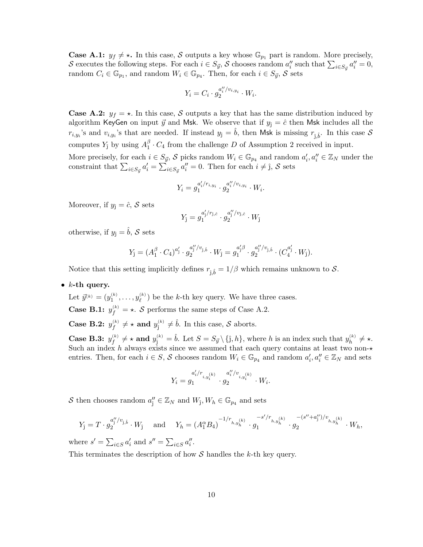**Case A.1:**  $y_f \neq \star$ . In this case, S outputs a key whose  $\mathbb{G}_{p_1}$  part is random. More precisely, S executes the following steps. For each  $i \in S_{\vec{y}}$ , S chooses random  $a''_i$  such that  $\sum_{i \in S_{\vec{y}}} a''_i = 0$ , random  $C_i \in \mathbb{G}_{p_1}$ , and random  $W_i \in \mathbb{G}_{p_4}$ . Then, for each  $i \in S_{\vec{y}}$ , S sets

$$
Y_i = C_i \cdot g_2^{a''_i/v_{i,y_i}} \cdot W_i.
$$

**Case A.2:**  $y_f = \star$ . In this case, S outputs a key that has the same distribution induced by algorithm KeyGen on input  $\vec{y}$  and Msk. We observe that if  $y_{\hat{i}} = \hat{c}$  then Msk includes all the  $r_{i,y_i}$ 's and  $v_{i,y_i}$ 's that are needed. If instead  $y_j = \hat{b}$ , then Msk is missing  $r_{\hat{j},\hat{b}}$ . In this case S computes  $Y_j$  by using  $A_1^{\beta}$  $I_1^p \cdot C_4$  from the challenge D of Assumption 2 received in input.

More precisely, for each  $i \in S_{\vec{y}}$ , S picks random  $W_i \in \mathbb{G}_{p_4}$  and random  $a'_i, a''_i \in \mathbb{Z}_N$  under the constraint that  $\sum_{i \in S_{ij}} a'_i = \sum_{i \in S_{ij}} a''_i = 0$ . Then for each  $i \neq j$ , S sets

$$
Y_i = g_1^{a'_i/r_{i,y_i}} \cdot g_2^{a''_i/v_{i,y_i}} \cdot W_i.
$$

Moreover, if  $y_{\hat{i}} = \hat{c}, S$  sets

$$
Y_{\hat{\jmath}} = g_1^{a'_\jmath / r_{\hat{\jmath},\hat{c}} } \cdot g_2^{a''_j / v_{\hat{\jmath},\hat{c}} } \cdot W_{\hat{\jmath}}
$$

otherwise, if  $y_{\hat{i}} = \hat{b}$ , S sets

$$
Y_{\hat{\jmath}} = (A_1^{\beta} \cdot C_4)^{a'_j} \cdot g_2^{a''_j/v_{\hat{\jmath},\hat{b}}}\cdot W_{\hat{\jmath}} = g_1^{a'_j\beta} \cdot g_2^{a''_j/v_{\hat{\jmath},\hat{b}}}\cdot (C_4^{a'_j} \cdot W_{\hat{\jmath}}).
$$

Notice that this setting implicitly defines  $r_{\hat{j},\hat{b}} = 1/\beta$  which remains unknown to  $\mathcal{S}$ .

•  $k$ -th query.

Let  $\vec{y}^{(k)} = (y_1^{(k)}, \ldots, y_\ell^{(k)})$  be the k-th key query. We have three cases.

**Case B.1:**  $y_f^{(k)} = \star$ . S performs the same steps of Case A.2.

**Case B.2:**  $y_f^{(k)} \neq \star$  **and**  $y_j^{(k)} \neq \hat{b}$ . In this case, S aborts.

**Case B.3:**  $y_f^{(k)} \neq \star$  and  $y_j^{(k)} = \hat{b}$ . Let  $S = S_{\vec{y}} \setminus {\{\hat{j}, h\}}$ , where h is an index such that  $y_h^{(k)} \neq \star$ . Such an index h always exists since we assumed that each query contains at least two non- $\star$ entries. Then, for each  $i \in S$ , S chooses random  $W_i \in \mathbb{G}_{p_4}$  and random  $a'_i, a''_i \in \mathbb{Z}_N$  and sets

$$
Y_i = g_1^{a'_i/r_{i,y_i^{(k)}}} \cdot g_2^{a''_i/v_{i,y_i^{(k)}}} \cdot W_i.
$$

S then chooses random  $a''_j \in \mathbb{Z}_N$  and  $W_j, W_h \in \mathbb{G}_{p_4}$  and sets

$$
Y_{\hat{j}} = T \cdot g_2^{a''_j/v_{\hat{j},\hat{b}}}. W_{\hat{j}} \quad \text{and} \quad Y_h = (A_1^{\alpha} B_4)^{-1/r_{h,y_h^{(k)}}} \cdot g_1^{-s'/r_{h,y_h^{(k)}}} \cdot g_2^{-(s'' + a''_j)/v_{h,y_h^{(k)}}}. W_h,
$$

where  $s' = \sum_{i \in S} a'_i$  and  $s'' = \sum_{i \in S} a''_i$ .

This terminates the description of how  $S$  handles the  $k$ -th key query.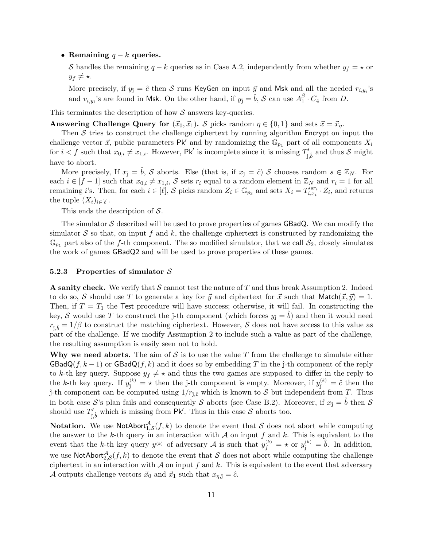• Remaining  $q - k$  queries.

S handles the remaining  $q - k$  queries as in Case A.2, independently from whether  $y_f = \star$  or  $y_f \neq \star$ .

More precisely, if  $y_j = \hat{c}$  then S runs KeyGen on input  $\vec{y}$  and Msk and all the needed  $r_{i,y_i}$ 's and  $v_{i,y_i}$ 's are found in Msk. On the other hand, if  $y_j = \hat{b}$ , S can use  $A_1^{\beta}$  $I_1^p \cdot C_4$  from D.

This terminates the description of how  $S$  answers key-queries.

**Answering Challenge Query for**  $(\vec{x}_0, \vec{x}_1)$ . S picks random  $\eta \in \{0, 1\}$  and sets  $\vec{x} = \vec{x}_\eta$ .

Then  $S$  tries to construct the challenge ciphertext by running algorithm Encrypt on input the challenge vector  $\vec{x}$ , public parameters Pk' and by randomizing the  $\mathbb{G}_{p_1}$  part of all components  $X_i$ for  $i < f$  such that  $x_{0,i} \neq x_{1,i}$ . However, Pk' is incomplete since it is missing  $T'_{\hat{j},\hat{b}}$  and thus S might have to abort.

More precisely, If  $x_{\hat{i}} = \tilde{b}$ , S aborts. Else (that is, if  $x_{\hat{i}} = \tilde{c}$ ) S chooses random  $s \in \mathbb{Z}_N$ . For each  $i \in [f-1]$  such that  $x_{0,i} \neq x_{1,i}$ , S sets  $r_i$  equal to a random element in  $\mathbb{Z}_N$  and  $r_i = 1$  for all remaining i's. Then, for each  $i \in [\ell], \mathcal{S}$  picks random  $Z_i \in \mathbb{G}_{p_3}$  and sets  $X_i = T_{i,x_i}^{'sr_i}$  $i_{i,x_i}^{\prime s r_i} \cdot Z_i$ , and returns the tuple  $(X_i)_{i \in [\ell]}$ .

This ends the description of S.

The simulator  $S$  described will be used to prove properties of games  $GBadQ$ . We can modify the simulator  $S$  so that, on input f and k, the challenge ciphertext is constructed by randomizing the  $\mathbb{G}_{p_1}$  part also of the f-th component. The so modified simulator, that we call  $\mathcal{S}_2$ , closely simulates the work of games GBadQ2 and will be used to prove properties of these games.

#### 5.2.3 Properties of simulator  $S$

**A sanity check.** We verify that  $S$  cannot test the nature of  $T$  and thus break Assumption 2. Indeed to do so, S should use T to generate a key for  $\vec{y}$  and ciphertext for  $\vec{x}$  such that Match $(\vec{x}, \vec{y}) = 1$ . Then, if  $T = T_1$  the Test procedure will have success; otherwise, it will fail. In constructing the key, S would use T to construct the j-th component (which forces  $y_i = b$ ) and then it would need  $r_{\hat{j},\hat{b}} = 1/\beta$  to construct the matching ciphertext. However, S does not have access to this value as part of the challenge. If we modify Assumption 2 to include such a value as part of the challenge, the resulting assumption is easily seen not to hold.

Why we need aborts. The aim of  $S$  is to use the value T from the challenge to simulate either  $\text{GBadQ}(f, k-1)$  or  $\text{GBadQ}(f, k)$  and it does so by embedding T in the j-th component of the reply to k-th key query. Suppose  $y_f \neq \star$  and thus the two games are supposed to differ in the reply to the k-th key query. If  $y_j^{(k)} = \star$  then the j-th component is empty. Moreover, if  $y_j^{(k)} = \hat{c}$  then the j-th component can be computed using  $1/r_{i,\hat{c}}$  which is known to S but independent from T. Thus in both case S's plan fails and consequently S aborts (see Case B.2). Moreover, if  $x_{\hat{i}} = \hat{b}$  then S should use  $T'_{\hat{j},\hat{b}}$  which is missing from Pk'. Thus in this case S aborts too.

**Notation.** We use NotAbort<sup>A</sup><sub>1,S</sub> $(f, k)$  to denote the event that S does not abort while computing the answer to the k-th query in an interaction with  $A$  on input f and k. This is equivalent to the event that the k-th key query  $y^{(k)}$  of adversary A is such that  $y_f^{(k)} = \star$  or  $y_j^{(k)} = \hat{b}$ . In addition, we use NotAbort $_{2,\mathcal{S}}^{\mathcal{A}}(f,k)$  to denote the event that S does not abort while computing the challenge ciphertext in an interaction with  $\mathcal A$  on input f and k. This is equivalent to the event that adversary A outputs challenge vectors  $\vec{x}_0$  and  $\vec{x}_1$  such that  $x_{\eta, \hat{j}} = \hat{c}$ .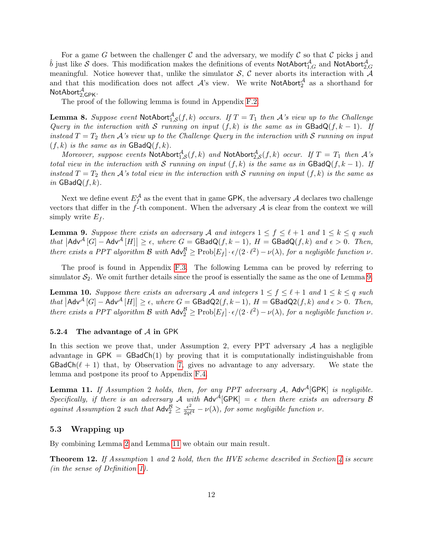For a game G between the challenger C and the adversary, we modify C so that C picks  $\hat{j}$  and  $\hat{b}$  just like S does. This modification makes the definitions of events NotAbort $^{\mathcal{A}}_{1,G}$  and NotAbort $^{\mathcal{A}}_{2,G}$ meaningful. Notice however that, unlike the simulator  $S$ ,  $C$  never aborts its interaction with  $A$ and that this modification does not affect  $\mathcal{A}$ 's view. We write NotAbort $^{\mathcal{A}}_2$  as a shorthand for  $\mathsf{NotAbort}_{2,\mathsf{GPK}}^\mathcal{A}.$ 

The proof of the following lemma is found in Appendix [F.2.](#page-22-0)

<span id="page-12-2"></span>**Lemma 8.** Suppose event  $\text{NotAbort}^{\mathcal{A}}_{1,\mathcal{S}}(f,k)$  occurs. If  $T=T_1$  then A's view up to the Challenge Query in the interaction with S running on input  $(f, k)$  is the same as in GBadQ $(f, k - 1)$ . If instead  $T = T_2$  then A's view up to the Challenge Query in the interaction with S running on input  $(f, k)$  is the same as in  $GBadQ(f, k)$ .

Moreover, suppose events  $\textsf{NotAbort}_{1,\mathcal{S}}^{\mathcal{A}}(f,k)$  and  $\textsf{NotAbort}_{2,\mathcal{S}}^{\mathcal{A}}(f,k)$  occur. If  $T=T_1$  then  $\mathcal{A}$ 's total view in the interaction with S running on input  $(f, k)$  is the same as in  $\textsf{GBadQ}(f, k-1)$ . If instead  $T = T_2$  then A's total view in the interaction with S running on input  $(f, k)$  is the same as in  $GBadQ(f, k)$ .

Next we define event  $E_f^{\mathcal{A}}$  as the event that in game GPK, the adversary  $\mathcal A$  declares two challenge vectors that differ in the  $f$ -th component. When the adversary  $A$  is clear from the context we will simply write  $E_f$ .

<span id="page-12-0"></span>**Lemma 9.** Suppose there exists an adversary A and integers  $1 \leq f \leq \ell + 1$  and  $1 \leq k \leq q$  such that  $|\mathsf{Adv}^{\mathcal{A}}[G] - \mathsf{Adv}^{\mathcal{A}}[H]| \geq \epsilon$ , where  $G = \mathsf{GBadQ}(f, k - 1)$ ,  $H = \mathsf{GBadQ}(f, k)$  and  $\epsilon > 0$ . Then, there exists a PPT algorithm  $\mathcal B$  with  $\mathsf{Adv}_2^{\mathcal B} \ge \text{Prob}[E_f] \cdot \epsilon/(2 \cdot \ell^2) - \nu(\lambda)$ , for a negligible function  $\nu$ .

The proof is found in Appendix [F.3.](#page-23-0) The following Lemma can be proved by referring to simulator  $S_2$ . We omit further details since the proof is essentially the same as the one of Lemma [9.](#page-12-0)

<span id="page-12-3"></span>**Lemma 10.** Suppose there exists an adversary A and integers  $1 \le f \le \ell + 1$  and  $1 \le k \le q$  such that  $|\mathsf{Adv}^{\mathcal{A}}[G] - \mathsf{Adv}^{\mathcal{A}}[H]| \geq \epsilon$ , where  $G = \mathsf{GBadQ2}(f, k-1)$ ,  $H = \mathsf{GBadQ2}(f, k)$  and  $\epsilon > 0$ . Then, there exists a PPT algorithm B with  $\mathsf{Adv}^{\mathcal{B}}_2 \ge \text{Prob}[E_f] \cdot \epsilon/(2 \cdot \ell^2) - \nu(\lambda)$ , for a negligible function  $\nu$ .

#### 5.2.4 The advantage of A in GPK

In this section we prove that, under Assumption 2, every PPT adversary  $A$  has a negligible advantage in  $\mathsf{GPK} = \mathsf{GBadCh}(1)$  by proving that it is computationally indistinguishable from  $GBadCh(\ell + 1)$  that, by Observation [7,](#page-8-0) gives no advantage to any adversary. We state the lemma and postpone its proof to Appendix [F.4.](#page-25-0)

<span id="page-12-1"></span>**Lemma 11.** If Assumption 2 holds, then, for any PPT adversary A, Adv<sup>A</sup>[GPK] is negligible. Specifically, if there is an adversary A with  $Adv^A[GPK] = \epsilon$  then there exists an adversary B against Assumption 2 such that  $\mathsf{Adv}_{2}^{\mathcal{B}} \geq \frac{\epsilon^{2}}{2q\ell^{4}} - \nu(\lambda)$ , for some negligible function  $\nu$ .

### 5.3 Wrapping up

By combining Lemma [2](#page-6-1) and Lemma [11](#page-12-1) we obtain our main result.

**Theorem 12.** If Assumption 1 and 2 hold, then the HVE scheme described in Section [4](#page-4-0) is secure (in the sense of Definition [1\)](#page-3-0).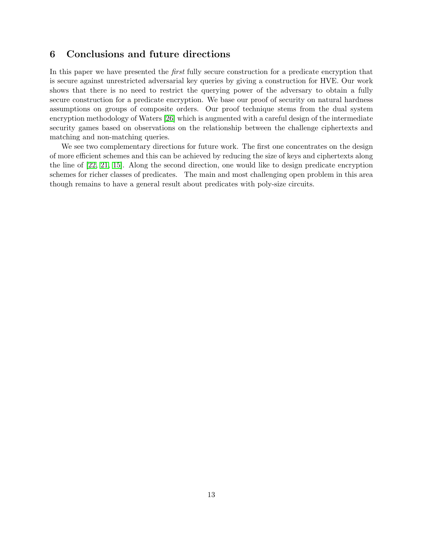# 6 Conclusions and future directions

In this paper we have presented the first fully secure construction for a predicate encryption that is secure against unrestricted adversarial key queries by giving a construction for HVE. Our work shows that there is no need to restrict the querying power of the adversary to obtain a fully secure construction for a predicate encryption. We base our proof of security on natural hardness assumptions on groups of composite orders. Our proof technique stems from the dual system encryption methodology of Waters [\[26\]](#page-16-1) which is augmented with a careful design of the intermediate security games based on observations on the relationship between the challenge ciphertexts and matching and non-matching queries.

We see two complementary directions for future work. The first one concentrates on the design of more efficient schemes and this can be achieved by reducing the size of keys and ciphertexts along the line of [\[22,](#page-15-2) [21,](#page-15-8) [15\]](#page-15-9). Along the second direction, one would like to design predicate encryption schemes for richer classes of predicates. The main and most challenging open problem in this area though remains to have a general result about predicates with poly-size circuits.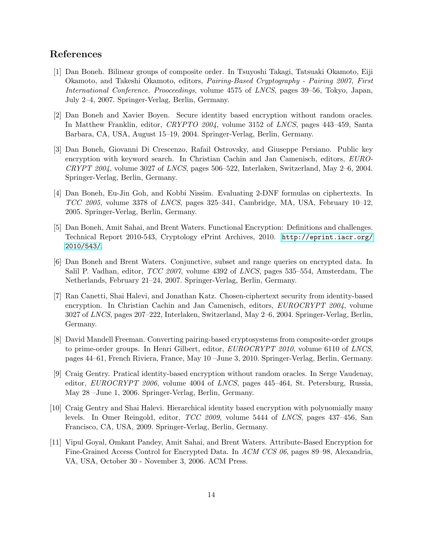# References

- <span id="page-14-9"></span>[1] Dan Boneh. Bilinear groups of composite order. In Tsuyoshi Takagi, Tatsuaki Okamoto, Eiji Okamoto, and Takeshi Okamoto, editors, Pairing-Based Cryptography - Pairing 2007, First International Conference. Prooceedings, volume 4575 of LNCS, pages 39–56, Tokyo, Japan, July 2–4, 2007. Springer-Verlag, Berlin, Germany.
- <span id="page-14-4"></span>[2] Dan Boneh and Xavier Boyen. Secure identity based encryption without random oracles. In Matthew Franklin, editor, CRYPTO 2004, volume 3152 of LNCS, pages 443–459, Santa Barbara, CA, USA, August 15–19, 2004. Springer-Verlag, Berlin, Germany.
- <span id="page-14-0"></span>[3] Dan Boneh, Giovanni Di Crescenzo, Rafail Ostrovsky, and Giuseppe Persiano. Public key encryption with keyword search. In Christian Cachin and Jan Camenisch, editors, EURO-CRYPT 2004, volume 3027 of LNCS, pages 506–522, Interlaken, Switzerland, May 2–6, 2004. Springer-Verlag, Berlin, Germany.
- <span id="page-14-8"></span>[4] Dan Boneh, Eu-Jin Goh, and Kobbi Nissim. Evaluating 2-DNF formulas on ciphertexts. In TCC 2005, volume 3378 of LNCS, pages 325–341, Cambridge, MA, USA, February 10–12, 2005. Springer-Verlag, Berlin, Germany.
- <span id="page-14-7"></span>[5] Dan Boneh, Amit Sahai, and Brent Waters. Functional Encryption: Definitions and challenges. Technical Report 2010-543, Cryptology ePrint Archives, 2010. [http://eprint.iacr.org/](http://eprint.iacr.org/2010/543/) [2010/543/](http://eprint.iacr.org/2010/543/).
- <span id="page-14-1"></span>[6] Dan Boneh and Brent Waters. Conjunctive, subset and range queries on encrypted data. In Salil P. Vadhan, editor, TCC 2007, volume 4392 of LNCS, pages 535–554, Amsterdam, The Netherlands, February 21–24, 2007. Springer-Verlag, Berlin, Germany.
- <span id="page-14-3"></span>[7] Ran Canetti, Shai Halevi, and Jonathan Katz. Chosen-ciphertext security from identity-based encryption. In Christian Cachin and Jan Camenisch, editors, EUROCRYPT 2004, volume 3027 of LNCS, pages 207–222, Interlaken, Switzerland, May 2–6, 2004. Springer-Verlag, Berlin, Germany.
- <span id="page-14-10"></span>[8] David Mandell Freeman. Converting pairing-based cryptosystems from composite-order groups to prime-order groups. In Henri Gilbert, editor, EUROCRYPT 2010, volume 6110 of LNCS, pages 44–61, French Riviera, France, May 10 –June 3, 2010. Springer-Verlag, Berlin, Germany.
- <span id="page-14-5"></span>[9] Craig Gentry. Pratical identity-based encryption without random oracles. In Serge Vaudenay, editor, *EUROCRYPT* 2006, volume 4004 of *LNCS*, pages 445–464, St. Petersburg, Russia, May 28 –June 1, 2006. Springer-Verlag, Berlin, Germany.
- <span id="page-14-6"></span>[10] Craig Gentry and Shai Halevi. Hierarchical identity based encryption with polynomially many levels. In Omer Reingold, editor, TCC 2009, volume 5444 of LNCS, pages 437–456, San Francisco, CA, USA, 2009. Springer-Verlag, Berlin, Germany.
- <span id="page-14-2"></span>[11] Vipul Goyal, Omkant Pandey, Amit Sahai, and Brent Waters. Attribute-Based Encryption for Fine-Grained Access Control for Encrypted Data. In ACM CCS 06, pages 89–98, Alexandria, VA, USA, October 30 - November 3, 2006. ACM Press.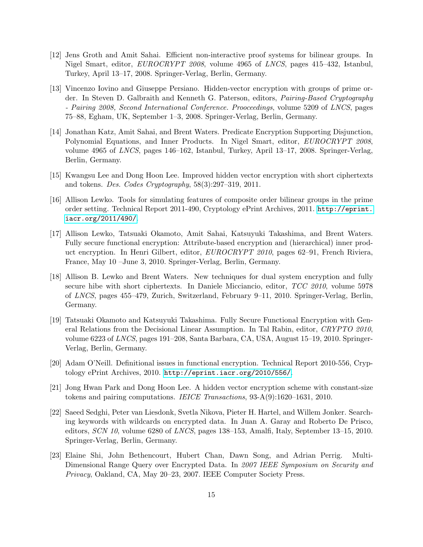- <span id="page-15-10"></span>[12] Jens Groth and Amit Sahai. Efficient non-interactive proof systems for bilinear groups. In Nigel Smart, editor, EUROCRYPT 2008, volume 4965 of LNCS, pages 415–432, Istanbul, Turkey, April 13–17, 2008. Springer-Verlag, Berlin, Germany.
- <span id="page-15-1"></span>[13] Vincenzo Iovino and Giuseppe Persiano. Hidden-vector encryption with groups of prime order. In Steven D. Galbraith and Kenneth G. Paterson, editors, Pairing-Based Cryptography - Pairing 2008, Second International Conference. Prooceedings, volume 5209 of LNCS, pages 75–88, Egham, UK, September 1–3, 2008. Springer-Verlag, Berlin, Germany.
- <span id="page-15-0"></span>[14] Jonathan Katz, Amit Sahai, and Brent Waters. Predicate Encryption Supporting Disjunction, Polynomial Equations, and Inner Products. In Nigel Smart, editor, EUROCRYPT 2008, volume 4965 of LNCS, pages 146–162, Istanbul, Turkey, April 13–17, 2008. Springer-Verlag, Berlin, Germany.
- <span id="page-15-9"></span>[15] Kwangsu Lee and Dong Hoon Lee. Improved hidden vector encryption with short ciphertexts and tokens. Des. Codes Cryptography, 58(3):297–319, 2011.
- <span id="page-15-11"></span>[16] Allison Lewko. Tools for simulating features of composite order bilinear groups in the prime order setting. Technical Report 2011-490, Cryptology ePrint Archives, 2011. [http://eprint.](http://eprint.iacr.org/2011/490/) [iacr.org/2011/490/](http://eprint.iacr.org/2011/490/).
- <span id="page-15-4"></span>[17] Allison Lewko, Tatsuaki Okamoto, Amit Sahai, Katsuyuki Takashima, and Brent Waters. Fully secure functional encryption: Attribute-based encryption and (hierarchical) inner product encryption. In Henri Gilbert, editor, *EUROCRYPT 2010*, pages 62–91, French Riviera, France, May 10 –June 3, 2010. Springer-Verlag, Berlin, Germany.
- <span id="page-15-3"></span>[18] Allison B. Lewko and Brent Waters. New techniques for dual system encryption and fully secure hibe with short ciphertexts. In Daniele Micciancio, editor, TCC 2010, volume 5978 of LNCS, pages 455–479, Zurich, Switzerland, February 9–11, 2010. Springer-Verlag, Berlin, Germany.
- <span id="page-15-5"></span>[19] Tatsuaki Okamoto and Katsuyuki Takashima. Fully Secure Functional Encryption with General Relations from the Decisional Linear Assumption. In Tal Rabin, editor, CRYPTO 2010, volume 6223 of LNCS, pages 191–208, Santa Barbara, CA, USA, August 15–19, 2010. Springer-Verlag, Berlin, Germany.
- <span id="page-15-7"></span>[20] Adam O'Neill. Definitional issues in functional encryption. Technical Report 2010-556, Cryptology ePrint Archives, 2010. <http://eprint.iacr.org/2010/556/>.
- <span id="page-15-8"></span>[21] Jong Hwan Park and Dong Hoon Lee. A hidden vector encryption scheme with constant-size tokens and pairing computations. IEICE Transactions,  $93-A(9):1620-1631$ , 2010.
- <span id="page-15-2"></span>[22] Saeed Sedghi, Peter van Liesdonk, Svetla Nikova, Pieter H. Hartel, and Willem Jonker. Searching keywords with wildcards on encrypted data. In Juan A. Garay and Roberto De Prisco, editors, SCN 10, volume 6280 of LNCS, pages 138–153, Amalfi, Italy, September 13–15, 2010. Springer-Verlag, Berlin, Germany.
- <span id="page-15-6"></span>[23] Elaine Shi, John Bethencourt, Hubert Chan, Dawn Song, and Adrian Perrig. Multi-Dimensional Range Query over Encrypted Data. In 2007 IEEE Symposium on Security and Privacy, Oakland, CA, May 20–23, 2007. IEEE Computer Society Press.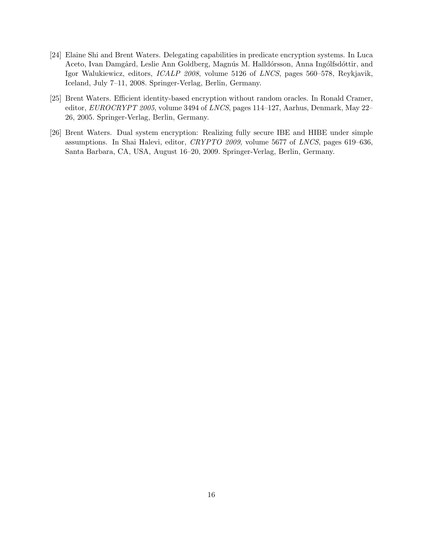- <span id="page-16-0"></span>[24] Elaine Shi and Brent Waters. Delegating capabilities in predicate encryption systems. In Luca Aceto, Ivan Damgård, Leslie Ann Goldberg, Magnús M. Halldórsson, Anna Ingólfsdóttir, and Igor Walukiewicz, editors, ICALP 2008, volume 5126 of LNCS, pages 560–578, Reykjavik, Iceland, July 7–11, 2008. Springer-Verlag, Berlin, Germany.
- <span id="page-16-2"></span>[25] Brent Waters. Efficient identity-based encryption without random oracles. In Ronald Cramer, editor, EUROCRYPT 2005, volume 3494 of LNCS, pages 114–127, Aarhus, Denmark, May 22– 26, 2005. Springer-Verlag, Berlin, Germany.
- <span id="page-16-1"></span>[26] Brent Waters. Dual system encryption: Realizing fully secure IBE and HIBE under simple assumptions. In Shai Halevi, editor, CRYPTO 2009, volume 5677 of LNCS, pages 619–636, Santa Barbara, CA, USA, August 16–20, 2009. Springer-Verlag, Berlin, Germany.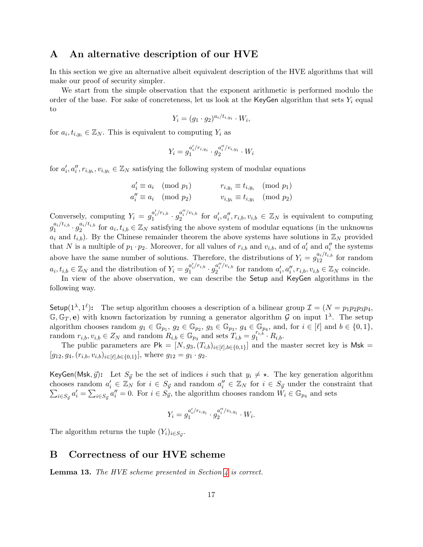### <span id="page-17-1"></span>A An alternative description of our HVE

In this section we give an alternative albeit equivalent description of the HVE algorithms that will make our proof of security simpler.

We start from the simple observation that the exponent arithmetic is performed modulo the order of the base. For sake of concreteness, let us look at the KeyGen algorithm that sets  $Y_i$  equal to

$$
Y_i = (g_1 \cdot g_2)^{a_i/t_{i,y_i}} \cdot W_i,
$$

for  $a_i, t_{i,y_i} \in \mathbb{Z}_N$ . This is equivalent to computing  $Y_i$  as

$$
Y_i = g_1^{a'_i/r_{i,y_i}} \cdot g_2^{a''_i/v_{i,y_i}} \cdot W_i
$$

for  $a'_i, a''_i, r_{i,y_i}, v_{i,y_i} \in \mathbb{Z}_N$  satisfying the following system of modular equations

$$
a'_{i} \equiv a_{i} \pmod{p_{1}}
$$
  
\n
$$
a''_{i} \equiv a_{i} \pmod{p_{2}}
$$
  
\n
$$
r_{i,y_{i}} \equiv t_{i,y_{i}} \pmod{p_{1}}
$$
  
\n
$$
v_{i,y_{i}} \equiv t_{i,y_{i}} \pmod{p_{2}}
$$

Conversely, computing  $Y_i = g_1^{a'_i/r_{i,b}}$  $\frac{a'_i/r_{i,b}}{1} \cdot \frac{a''_i/v_{i,b}}{g_2}$  $a_i''/v_{i,b}$  for  $a_i', a_i'', r_{i,b}, v_{i,b} \in \mathbb{Z}_N$  is equivalent to computing  $g_1^{a_i/t_{i,b}}$  $g_1^{a_i/t_{i,b}}\cdot g_2^{a_i/t_{i,b}}$  $a_i/t_{i,b}$  for  $a_i, t_{i,b} \in \mathbb{Z}_N$  satisfying the above system of modular equations (in the unknowns  $a_i$  and  $t_{i,b}$ ). By the Chinese remainder theorem the above systems have solutions in  $\mathbb{Z}_N$  provided that N is a multiple of  $p_1 \cdot p_2$ . Moreover, for all values of  $r_{i,b}$  and  $v_{i,b}$ , and of  $a'_i$  and  $a''_i$  the systems above have the same number of solutions. Therefore, the distributions of  $Y_i = g_{12}^{a_i/t_{i,b}}$  for random  $a_i, t_{i,b} \in \mathbb{Z}_N$  and the distribution of  $Y_i = g_1^{a'_i/r_{i,b}}$  $g_1^{a'_i/r_{i,b}} \cdot g_2^{a''_i/v_{i,b}}$  $a_i''/v_{i,b}$  for random  $a_i', a_i'', r_{i,b}, v_{i,b} \in \mathbb{Z}_N$  coincide.

In view of the above observation, we can describe the Setup and KeyGen algorithms in the following way.

Setup( $1^{\lambda}, 1^{\ell}$ ): The setup algorithm chooses a description of a bilinear group  $\mathcal{I} = (N = p_1 p_2 p_3 p_4,$  $\mathbb{G}, \mathbb{G}_T, e$  with known factorization by running a generator algorithm G on input  $1^{\lambda}$ . The setup algorithm chooses random  $g_1 \in \mathbb{G}_{p_1}$ ,  $g_2 \in \mathbb{G}_{p_2}$ ,  $g_3 \in \mathbb{G}_{p_3}$ ,  $g_4 \in \mathbb{G}_{p_4}$ , and, for  $i \in [\ell]$  and  $b \in \{0, 1\}$ , random  $r_{i,b}, v_{i,b} \in Z_N$  and random  $R_{i,b} \in \mathbb{G}_{p_3}$  and sets  $T_{i,b} = g_1^{r_{i,b}}$  $i_1^{r_{i,b}}\cdot R_{i,b}.$ 

The public parameters are  $\mathsf{Pk} = [N, g_3, (T_{i,b})_{i \in [\ell], b \in \{0,1\}}]$  and the master secret key is Msk =  $[g_{12}, g_4, (r_{i,b}, v_{i,b})_{i \in [\ell], b \in \{0,1\}}]$ , where  $g_{12} = g_1 \cdot g_2$ .

KeyGen(Msk,  $\vec{y}$ ): Let  $S_{\vec{y}}$  be the set of indices i such that  $y_i \neq \star$ . The key generation algorithm chooses random  $a'_i \in \mathbb{Z}_N$  for  $i \in S_{\vec{y}}$  and random  $a''_i \in \mathbb{Z}_N$  for  $i \in S_{\vec{y}}$  under the constraint that  $\sum_{i \in S_{\vec{y}}} a'_i = \sum_{i \in S_{\vec{y}}} a''_i = 0$ . For  $i \in S_{\vec{y}}$ , the algorithm chooses random  $W_i \in \mathbb{G}_{p_4}$  and sets

$$
Y_i = g_1^{a'_i/r_{i,y_i}} \cdot g_2^{a''_i/v_{i,y_i}} \cdot W_i.
$$

The algorithm returns the tuple  $(Y_i)_{i \in S_{\vec{y}}}$ .

### <span id="page-17-0"></span>B Correctness of our HVE scheme

**Lemma 13.** The HVE scheme presented in Section  $\lambda$  is correct.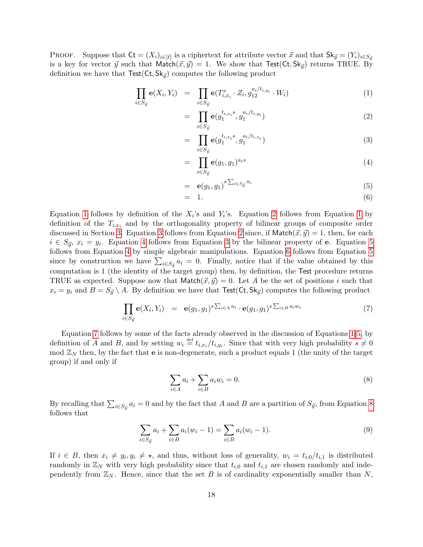PROOF. Suppose that  $\mathsf{C} = (X_i)_{i \in [\ell]}$  is a ciphertext for attribute vector  $\vec{x}$  and that  $\mathsf{Sk}_{\vec{y}} = (Y_i)_{i \in S_{\vec{y}}}$ is a key for vector  $\vec{y}$  such that Match $(\vec{x}, \vec{y}) = 1$ . We show that Test(Ct, Sk<sub> $\vec{y}$ </sub>) returns TRUE. By definition we have that  $Test(Ct, Sk_{\vec{v}})$  computes the following product

<span id="page-18-0"></span>
$$
\prod_{i \in S_{\vec{y}}} \mathbf{e}(X_i, Y_i) = \prod_{i \in S_{\vec{y}}} \mathbf{e}(T_{i, x_i}^s \cdot Z_i, g_{12}^{a_i/t_{i, y_i}} \cdot W_i)
$$
(1)

$$
= \prod_{i \in S_{\vec{y}}} \mathbf{e}(g_1^{t_{i,x_i}s}, g_1^{a_i/t_{i,y_i}}) \tag{2}
$$

$$
= \prod_{i \in S_{ij}} \mathbf{e}(g_1^{t_{i,x_i}s}, g_1^{a_i/t_{i,x_i}}) \tag{3}
$$

$$
= \prod_{i \in S_{ij}} \mathbf{e}(g_1, g_1)^{a_i s} \tag{4}
$$

$$
= \mathbf{e}(g_1, g_1)^{s \sum_{i \in S_{\vec{y}}} a_i} \tag{5}
$$

$$
= 1. \t\t(6)
$$

Equation [1](#page-18-0) follows by definition of the  $X_i$ 's and  $Y_i$ 's. Equation [2](#page-18-0) follows from Equation 1 by definition of the  $T_{i,x_i}$  and by the orthogonality property of bilinear groups of composite order discussed in Section [3.](#page-3-1) Equation [3](#page-18-0) follows from Equation [2](#page-18-0) since, if Match $(\vec{x}, \vec{y}) = 1$ , then, for each  $i \in S_{\vec{y}}, x_i = y_i$ . Equation [4](#page-18-0) follows from Equation [3](#page-18-0) by the bilinear property of **e**. Equation [5](#page-18-0) follows from Equation [4](#page-18-0) by simple algebraic manipulations. Equation [6](#page-18-0) follows from Equation [5](#page-18-0) since by construction we have  $\sum_{i\in S_{\vec{y}}} a_i = 0$ . Finally, notice that if the value obtained by this computation is 1 (the identity of the target group) then, by definition, the Test procedure returns TRUE as expected. Suppose now that  $\text{Match}(\vec{x}, \vec{y}) = 0$ . Let A be the set of positions i such that  $x_i = y_i$  and  $B = S_{\vec{y}} \setminus A$ . By definition we have that  $\text{Test}(\text{Ct}, \text{Sk}_{\vec{y}})$  computes the following product

<span id="page-18-1"></span>
$$
\prod_{i \in S_{ij}} \mathbf{e}(X_i, Y_i) = \mathbf{e}(g_1, g_1)^s \sum_{i \in A} a_i \cdot \mathbf{e}(g_1, g_1)^s \sum_{i \in B} a_i w_i \tag{7}
$$

Equation [7](#page-18-1) follows by some of the facts already observed in the discussion of Equations [1-5,](#page-18-0) by definition of A and B, and by setting  $w_i \stackrel{\text{def}}{=} t_{i,x_i}/t_{i,y_i}$ . Since that with very high probability  $s \neq 0$ mod  $\mathbb{Z}_N$  then, by the fact that **e** is non-degenerate, such a product equals 1 (the unity of the target group) if and only if

<span id="page-18-2"></span>
$$
\sum_{i \in A} a_i + \sum_{i \in B} a_i w_i = 0. \tag{8}
$$

By recalling that  $\sum_{i\in S_{\vec{y}}} a_i = 0$  and by the fact that A and B are a partition of  $S_{\vec{y}}$ , from Equation [8](#page-18-2) follows that

<span id="page-18-3"></span>
$$
\sum_{i \in S_{ij}} a_i + \sum_{i \in B} a_i (w_i - 1) = \sum_{i \in B} a_i (w_i - 1).
$$
\n(9)

If  $i \in B$ , then  $x_i \neq y_i, y_i \neq \star$ , and thus, without loss of generality,  $w_i = t_{i,0}/t_{i,1}$  is distributed randomly in  $\mathbb{Z}_N$  with very high probability since that  $t_{i,0}$  and  $t_{i,1}$  are chosen randomly and independently from  $\mathbb{Z}_N$ . Hence, since that the set B is of cardinality exponentially smaller than N,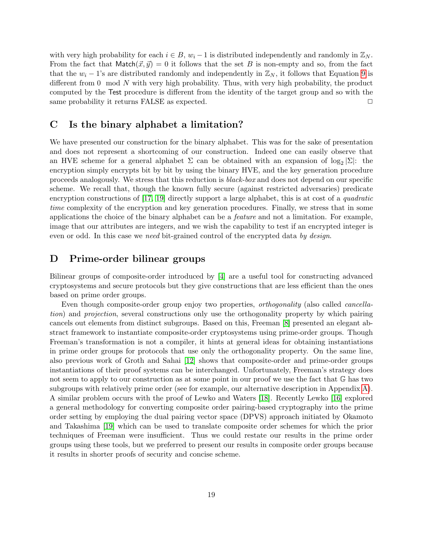with very high probability for each  $i \in B$ ,  $w_i - 1$  is distributed independently and randomly in  $\mathbb{Z}_N$ . From the fact that  $\text{Match}(\vec{x}, \vec{y}) = 0$  it follows that the set B is non-empty and so, from the fact that the  $w_i - 1$ 's are distributed randomly and independently in  $\mathbb{Z}_N$ , it follows that Equation [9](#page-18-3) is different from 0 mod N with very high probability. Thus, with very high probability, the product computed by the Test procedure is different from the identity of the target group and so with the same probability it returns  $FALSE$  as expected.  $\Box$ 

## <span id="page-19-0"></span>C Is the binary alphabet a limitation?

We have presented our construction for the binary alphabet. This was for the sake of presentation and does not represent a shortcoming of our construction. Indeed one can easily observe that an HVE scheme for a general alphabet  $\Sigma$  can be obtained with an expansion of  $\log_2 |\Sigma|$ : the encryption simply encrypts bit by bit by using the binary HVE, and the key generation procedure proceeds analogously. We stress that this reduction is black-box and does not depend on our specific scheme. We recall that, though the known fully secure (against restricted adversaries) predicate encryption constructions of [\[17,](#page-15-4) [19\]](#page-15-5) directly support a large alphabet, this is at cost of a *quadratic* time complexity of the encryption and key generation procedures. Finally, we stress that in some applications the choice of the binary alphabet can be a feature and not a limitation. For example, image that our attributes are integers, and we wish the capability to test if an encrypted integer is even or odd. In this case we need bit-grained control of the encrypted data by design.

### D Prime-order bilinear groups

Bilinear groups of composite-order introduced by [\[4\]](#page-14-8) are a useful tool for constructing advanced cryptosystems and secure protocols but they give constructions that are less efficient than the ones based on prime order groups.

Even though composite-order group enjoy two properties, orthogonality (also called cancellation) and projection, several constructions only use the orthogonality property by which pairing cancels out elements from distinct subgroups. Based on this, Freeman [\[8\]](#page-14-10) presented an elegant abstract framework to instantiate composite-order cryptosystems using prime-order groups. Though Freeman's transformation is not a compiler, it hints at general ideas for obtaining instantiations in prime order groups for protocols that use only the orthogonality property. On the same line, also previous work of Groth and Sahai [\[12\]](#page-15-10) shows that composite-order and prime-order groups instantiations of their proof systems can be interchanged. Unfortunately, Freeman's strategy does not seem to apply to our construction as at some point in our proof we use the fact that G has two subgroups with relatively prime order (see for example, our alternative description in Appendix [A\)](#page-17-1). A similar problem occurs with the proof of Lewko and Waters [\[18\]](#page-15-3). Recently Lewko [\[16\]](#page-15-11) explored a general methodology for converting composite order pairing-based cryptography into the prime order setting by employing the dual pairing vector space (DPVS) approach initiated by Okamoto and Takashima [\[19\]](#page-15-5) which can be used to translate composite order schemes for which the prior techniques of Freeman were insufficient. Thus we could restate our results in the prime order groups using these tools, but we preferred to present our results in composite order groups because it results in shorter proofs of security and concise scheme.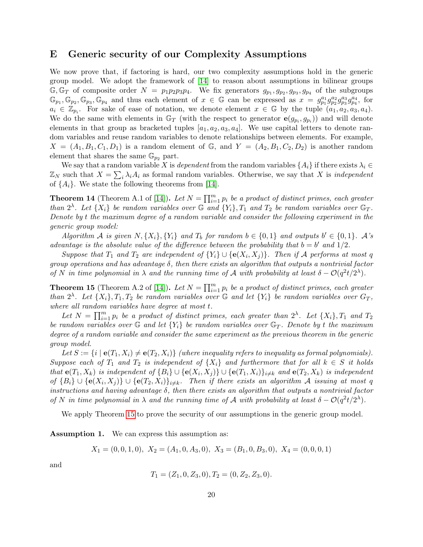### <span id="page-20-0"></span>E Generic security of our Complexity Assumptions

We now prove that, if factoring is hard, our two complexity assumptions hold in the generic group model. We adopt the framework of [\[14\]](#page-15-0) to reason about assumptions in bilinear groups  $\mathbb{G}, \mathbb{G}_T$  of composite order  $N = p_1p_2p_3p_4$ . We fix generators  $g_{p_1}, g_{p_2}, g_{p_3}, g_{p_4}$  of the subgroups  $\mathbb{G}_{p_1}, \mathbb{G}_{p_2}, \mathbb{G}_{p_3}, \mathbb{G}_{p_4}$  and thus each element of  $x \in \mathbb{G}$  can be expressed as  $x = g_{p_1}^{a_1} g_{p_2}^{a_2} g_{p_3}^{a_3} g_{p_4}^{a_4}$ , for  $a_i \in \mathbb{Z}_{p_i}$ . For sake of ease of notation, we denote element  $x \in \mathbb{G}$  by the tuple  $(a_1, a_2, a_3, a_4)$ . We do the same with elements in  $\mathbb{G}_T$  (with the respect to generator  $e(g_{p_i}, g_{p_i})$ ) and will denote elements in that group as bracketed tuples  $[a_1, a_2, a_3, a_4]$ . We use capital letters to denote random variables and reuse random variables to denote relationships between elements. For example,  $X = (A_1, B_1, C_1, D_1)$  is a random element of G, and  $Y = (A_2, B_1, C_2, D_2)$  is another random element that shares the same  $\mathbb{G}_{p_2}$  part.

We say that a random variable X is dependent from the random variables  $\{A_i\}$  if there exists  $\lambda_i \in$  $\mathbb{Z}_N$  such that  $X = \sum_i \lambda_i A_i$  as formal random variables. Otherwise, we say that X is *independent* of  $\{A_i\}$ . We state the following theorems from [\[14\]](#page-15-0).

**Theorem 14** (Theorem A.1 of [\[14\]](#page-15-0)). Let  $N = \prod_{i=1}^{m} p_i$  be a product of distinct primes, each greater than  $2^{\lambda}$ . Let  $\{X_i\}$  be random variables over  $\mathbb G$  and  $\{Y_i\}$ ,  $T_1$  and  $T_2$  be random variables over  $\mathbb G_T$ . Denote by t the maximum degree of a random variable and consider the following experiment in the generic group model:

Algorithm A is given  $N, \{X_i\}, \{Y_i\}$  and  $T_b$  for random  $b \in \{0,1\}$  and outputs  $b' \in \{0,1\}$ . A's advantage is the absolute value of the difference between the probability that  $b = b'$  and  $1/2$ .

Suppose that  $T_1$  and  $T_2$  are independent of  $\{Y_i\} \cup \{\mathbf{e}(X_i, X_j)\}\$ . Then if A performs at most q group operations and has advantage  $\delta$ , then there exists an algorithm that outputs a nontrivial factor of N in time polynomial in  $\lambda$  and the running time of A with probability at least  $\delta - O(q^2t/2^{\lambda})$ .

<span id="page-20-1"></span>**Theorem 15** (Theorem A.2 of [\[14\]](#page-15-0)). Let  $N = \prod_{i=1}^{m} p_i$  be a product of distinct primes, each greater than  $2^{\lambda}$ . Let  $\{X_i\}$ ,  $T_1$ ,  $T_2$  be random variables over  $\mathbb{G}$  and let  $\{Y_i\}$  be random variables over  $G_T$ , where all random variables have degree at most t.

Let  $N = \prod_{i=1}^{m} p_i$  be a product of distinct primes, each greater than  $2^{\lambda}$ . Let  $\{X_i\}$ ,  $T_1$  and  $T_2$ be random variables over  $\mathbb{G}$  and let  $\{Y_i\}$  be random variables over  $\mathbb{G}_T$ . Denote by t the maximum degree of a random variable and consider the same experiment as the previous theorem in the generic group model.

Let  $S := \{i \mid \mathbf{e}(T_1, X_i) \neq \mathbf{e}(T_2, X_i)\}$  (where inequality refers to inequality as formal polynomials). Suppose each of  $T_1$  and  $T_2$  is independent of  $\{X_i\}$  and furthermore that for all  $k \in S$  it holds that  $e(T_1, X_k)$  is independent of  $\{B_i\} \cup \{e(X_i, X_j)\} \cup \{e(T_1, X_i)\}_{i \neq k}$  and  $e(T_2, X_k)$  is independent of  $\{B_i\} \cup \{e(X_i, X_j)\} \cup \{e(T_2, X_i)\}_{i \neq k}$ . Then if there exists an algorithm A issuing at most q instructions and having advantage  $\delta$ , then there exists an algorithm that outputs a nontrivial factor of N in time polynomial in  $\lambda$  and the running time of A with probability at least  $\delta - O(q^2t/2^{\lambda})$ .

We apply Theorem [15](#page-20-1) to prove the security of our assumptions in the generic group model.

Assumption 1. We can express this assumption as:

$$
X_1 = (0, 0, 1, 0), X_2 = (A_1, 0, A_3, 0), X_3 = (B_1, 0, B_3, 0), X_4 = (0, 0, 0, 1)
$$

and

$$
T_1 = (Z_1, 0, Z_3, 0), T_2 = (0, Z_2, Z_3, 0).
$$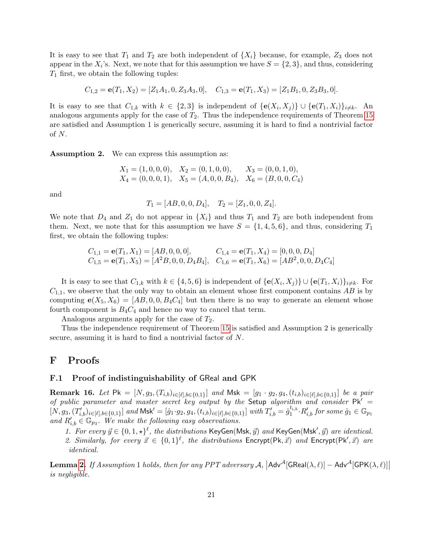It is easy to see that  $T_1$  and  $T_2$  are both independent of  $\{X_i\}$  because, for example,  $Z_3$  does not appear in the  $X_i$ 's. Next, we note that for this assumption we have  $S = \{2, 3\}$ , and thus, considering  $T_1$  first, we obtain the following tuples:

$$
C_{1,2} = \mathbf{e}(T_1, X_2) = [Z_1A_1, 0, Z_3A_3, 0], \quad C_{1,3} = \mathbf{e}(T_1, X_3) = [Z_1B_1, 0, Z_3B_3, 0].
$$

It is easy to see that  $C_{1,k}$  with  $k \in \{2,3\}$  is independent of  $\{\mathbf{e}(X_i, X_j)\} \cup \{\mathbf{e}(T_1, X_i)\}_{i \neq k}$ . An analogous arguments apply for the case of  $T_2$ . Thus the independence requirements of Theorem [15](#page-20-1) are satisfied and Assumption 1 is generically secure, assuming it is hard to find a nontrivial factor of N.

Assumption 2. We can express this assumption as:

$$
X_1 = (1, 0, 0, 0), X_2 = (0, 1, 0, 0), X_3 = (0, 0, 1, 0),
$$
  
\n $X_4 = (0, 0, 0, 1), X_5 = (A, 0, 0, B_4), X_6 = (B, 0, 0, C_4)$ 

and

$$
T_1 = [AB, 0, 0, D_4], \quad T_2 = [Z_1, 0, 0, Z_4].
$$

We note that  $D_4$  and  $Z_1$  do not appear in  $\{X_i\}$  and thus  $T_1$  and  $T_2$  are both independent from them. Next, we note that for this assumption we have  $S = \{1, 4, 5, 6\}$ , and thus, considering  $T_1$ first, we obtain the following tuples:

$$
C_{1,1} = \mathbf{e}(T_1, X_1) = [AB, 0, 0, 0], \qquad C_{1,4} = \mathbf{e}(T_1, X_4) = [0, 0, 0, D_4]
$$
  
\n
$$
C_{1,5} = \mathbf{e}(T_1, X_5) = [A^2B, 0, 0, D_4B_4], \quad C_{1,6} = \mathbf{e}(T_1, X_6) = [AB^2, 0, 0, D_4C_4]
$$

It is easy to see that  $C_{1,k}$  with  $k \in \{4,5,6\}$  is independent of  $\{\mathbf{e}(X_i, X_j)\} \cup \{\mathbf{e}(T_1, X_i)\}_{i \neq k}$ . For  $C_{1,1}$ , we observe that the only way to obtain an element whose first component contains AB is by computing  $e(X_5, X_6) = [AB, 0, 0, B_4C_4]$  but then there is no way to generate an element whose fourth component is  $B_4C_4$  and hence no way to cancel that term.

Analogous arguments apply for the case of  $T_2$ .

Thus the independence requirement of Theorem [15](#page-20-1) is satisfied and Assumption 2 is generically secure, assuming it is hard to find a nontrivial factor of N.

### F Proofs

### <span id="page-21-0"></span>F.1 Proof of indistinguishability of GReal and GPK

<span id="page-21-1"></span>**Remark 16.** Let  $\mathsf{Pk} = [N, g_3, (T_{i,b})_{i \in [\ell], b \in \{0,1\}}]$  and  $\mathsf{Msk} = [g_1 \cdot g_2, g_4, (t_{i,b})_{i \in [\ell], b \in \{0,1\}}]$  be a pair of public parameter and master secret key output by the Setup algorithm and consider  $PK =$  $[N, g_3, (T'_{i,b})_{i \in [\ell], b \in \{0,1\}}]$  and  $M$ sk $' = [\hat{g}_1 \cdot g_2, g_4, (t_{i,b})_{i \in [\ell], b \in \{0,1\}}]$  with  $T'_{i,b} = \hat{g}_1^{t_{i,b}}$  $i_{1}^{t_{i,b}}\!\cdot\! R'_{i,b}$  for some  $\hat{g}_1\in\mathbb{G}_{p_1}$ and  $R'_{i,b} \in \mathbb{G}_{p_3}$ . We make the following easy observations.

- 1. For every  $\vec{y} \in \{0, 1, \star\}^{\ell}$ , the distributions KeyGen(Msk,  $\vec{y}$ ) and KeyGen(Msk',  $\vec{y}$ ) are identical.
- 2. Similarly, for every  $\vec{x} \in \{0,1\}^{\ell}$ , the distributions Encrypt(Pk,  $\vec{x}$ ) and Encrypt(Pk',  $\vec{x}$ ) are identical.

**Lemma [2.](#page-6-1)** If Assumption 1 holds, then for any PPT adversary  $A$ ,  $|$ Adv<sup>A</sup>[GReal $(\lambda, \ell)|$  – Adv<sup>A</sup>[GPK $(\lambda, \ell)|$ ] is negligible.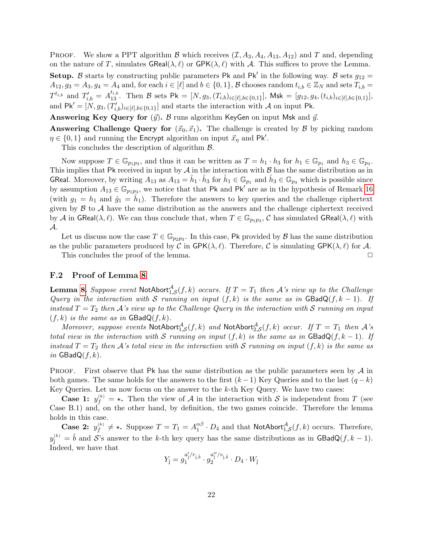**PROOF.** We show a PPT algorithm B which receives  $(\mathcal{I}, A_3, A_4, A_{13}, A_{12})$  and T and, depending on the nature of T, simulates  $\mathsf{GReal}(\lambda, \ell)$  or  $\mathsf{GPK}(\lambda, \ell)$  with A. This suffices to prove the Lemma. **Setup.** B starts by constructing public parameters Pk and Pk' in the following way. B sets  $g_{12}$  =  $A_{12}, g_3 = A_3, g_4 = A_4$  and, for each  $i \in [\ell]$  and  $b \in \{0,1\}$ , B chooses random  $t_{i,b} \in \mathbb{Z}_N$  and sets  $T_{i,b} =$  $T^{t_{i,b}}$  and  $T'_{i,b} = A_{13}^{t_{i,b}}$ . Then B sets Pk =  $[N, g_3, (T_{i,b})_{i \in [\ell], b \in \{0,1\}}]$ , Msk =  $[g_{12}, g_4, (t_{i,b})_{i \in [\ell], b \in \{0,1\}}]$ , and  $\mathsf{P}\mathsf{K}' = [N, g_3, (T'_{i,b})_{i\in[\ell],b\in\{0,1\}}]$  and starts the interaction with A on input Pk.

**Answering Key Query for**  $(\vec{y})$ . B runs algorithm KeyGen on input Msk and  $\vec{y}$ .

Answering Challenge Query for  $(\vec{x}_0, \vec{x}_1)$ . The challenge is created by  $\beta$  by picking random  $\eta \in \{0,1\}$  and running the Encrypt algorithm on input  $\vec{x}_{\eta}$  and Pk'.

This concludes the description of algorithm  $\beta$ .

Now suppose  $T \in \mathbb{G}_{p_1p_3}$ , and thus it can be written as  $T = h_1 \cdot h_3$  for  $h_1 \in \mathbb{G}_{p_1}$  and  $h_3 \in \mathbb{G}_{p_3}$ . This implies that Pk received in input by  $A$  in the interaction with  $B$  has the same distribution as in GReal. Moreover, by writing  $A_{13}$  as  $A_{13} = \hat{h}_1 \cdot \hat{h}_3$  for  $\hat{h}_1 \in \mathbb{G}_{p_1}$  and  $\hat{h}_3 \in \mathbb{G}_{p_3}$  which is possible since by assumption  $A_{13} \in \mathbb{G}_{p_1p_3}$ , we notice that that Pk and Pk<sup>'</sup> are as in the hypothesis of Remark [16](#page-21-1) (with  $g_1 = h_1$  and  $\hat{g}_1 = \hat{h}_1$ ). Therefore the answers to key queries and the challenge ciphertext given by  $\beta$  to  $\lambda$  have the same distribution as the answers and the challenge ciphertext received by A in GReal $(\lambda, \ell)$ . We can thus conclude that, when  $T \in \mathbb{G}_{p_1p_3}$ , C has simulated GReal $(\lambda, \ell)$  with A.

Let us discuss now the case  $T \in \mathbb{G}_{p_2p_3}$ . In this case, Pk provided by  $\mathcal B$  has the same distribution as the public parameters produced by C in GPK( $\lambda, \ell$ ). Therefore, C is simulating GPK( $\lambda, \ell$ ) for A.

This concludes the proof of the lemma.  $\Box$ 

### <span id="page-22-0"></span>F.2 Proof of Lemma [8](#page-12-2)

**Lemma [8.](#page-12-2)** Suppose event  $\text{NotAbout}_{1, \mathcal{S}}^{\mathcal{A}}(f, k)$  occurs. If  $T = T_1$  then  $\mathcal{A}$ 's view up to the Challenge Query in the interaction with S running on input  $(f, k)$  is the same as in GBadQ $(f, k - 1)$ . If instead  $T = T_2$  then A's view up to the Challenge Query in the interaction with S running on input  $(f, k)$  is the same as in  $\textsf{GBadQ}(f, k)$ .

Moreover, suppose events  $\textsf{NotAbort}_{1,\mathcal{S}}^{\mathcal{A}}(f,k)$  and  $\textsf{NotAbort}_{2,\mathcal{S}}^{\mathcal{A}}(f,k)$  occur. If  $T=T_1$  then  $\mathcal{A}$ 's total view in the interaction with S running on input  $(f, k)$  is the same as in  $\textsf{GBadQ}(f, k-1)$ . If instead  $T = T_2$  then A's total view in the interaction with S running on input  $(f, k)$  is the same as in  $\textsf{GBadQ}(f, k)$ .

**PROOF.** First observe that Pk has the same distribution as the public parameters seen by  $\mathcal{A}$  in both games. The same holds for the answers to the first  $(k-1)$  Key Queries and to the last  $(q-k)$ Key Queries. Let us now focus on the answer to the  $k$ -th Key Query. We have two cases:

**Case 1:**  $y_f^{(k)} = \star$ . Then the view of A in the interaction with S is independent from T (see Case B.1) and, on the other hand, by definition, the two games coincide. Therefore the lemma holds in this case.

**Case 2:**  $y_f^{(k)} \neq \star$ . Suppose  $T = T_1 = A_1^{\alpha\beta}$  $\frac{\alpha\beta}{1} \cdot D_4$  and that NotAbort $\mathcal{A}_{1,\mathcal{S}}(f,k)$  occurs. Therefore,  $y_j^{(k)} = \hat{b}$  and S's answer to the k-th key query has the same distributions as in GBadQ(f, k – 1). Indeed, we have that

$$
Y_{\hat{\jmath}} = g_1^{a'_j/r_{\hat{\jmath},\hat{b}}} \cdot g_2^{a''_j/v_{\hat{\jmath},\hat{b}}} \cdot D_4 \cdot W_{\hat{\jmath}}
$$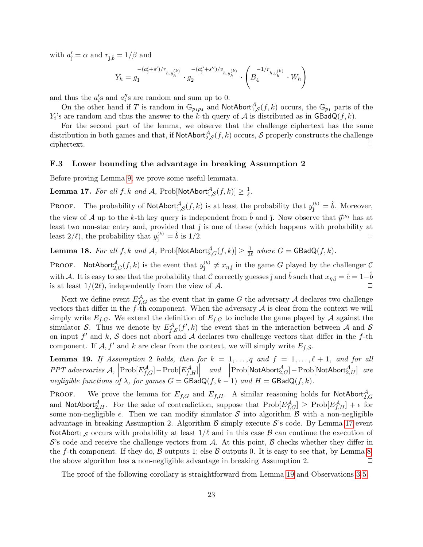with  $a'_{\hat{j}} = \alpha$  and  $r_{\hat{j},\hat{b}} = 1/\beta$  and

$$
Y_h=g_1^{-(a'_j+s')/r_{h,y_h^{(k)}}}\cdot g_2^{-(a''_j+s'')/v_{h,y_h^{(k)}}}\cdot \left(B_4^{-1/r_{h,y_h^{(k)}}}\cdot W_h\right)
$$

and thus the  $a_i$ 's and  $a_i$ 's are random and sum up to 0.

On the other hand if T is random in  $\mathbb{G}_{p_1p_4}$  and NotAbort ${}^{\mathcal{A}}_{1,\mathcal{S}}(f,k)$  occurs, the  $\mathbb{G}_{p_1}$  parts of the  $Y_i$ 's are random and thus the answer to the k-th query of A is distributed as in  $\textsf{GBadQ}(f, k)$ .

For the second part of the lemma, we observe that the challenge ciphertext has the same distribution in both games and that, if  $\mathsf{NotAbort}_{2,\mathcal{S}}^{\mathcal{A}}(f,k)$  occurs,  $\mathcal S$  properly constructs the challenge  $\Box$ ciphertext.  $\Box$ 

#### <span id="page-23-0"></span>F.3 Lower bounding the advantage in breaking Assumption 2

Before proving Lemma [9,](#page-12-0) we prove some useful lemmata.

<span id="page-23-1"></span>Lemma 17. For all  $f,k$  and  $\mathcal{A}$ ,  $\mathrm{Prob}[\mathsf{NotAbort}^{\mathcal{A}}_{1,\mathcal{S}}(f,k)] \geq \frac{1}{\ell}$  $\frac{1}{\ell}$ .

**PROOF.** The probability of NotAbort<sup>A</sup><sub>1,S</sub> $(f, k)$  is at least the probability that  $y_j^{(k)} = \hat{b}$ . Moreover, the view of A up to the k-th key query is independent from  $\hat{b}$  and  $\hat{j}$ . Now observe that  $\vec{y}^{(k)}$  has at least two non-star entry and, provided that  $\hat{j}$  is one of these (which happens with probability at least  $2/\ell$ , the probability that  $y_j^{(k)} = \hat{b}$  is  $1/2$ .

<span id="page-23-3"></span>Lemma 18. For all  $f, k$  and  $\mathcal{A}$ ,  $\mathrm{Prob}[\mathsf{NotAbort}_{2,G}^{\mathcal{A}}(f,k)] \geq \frac{1}{2d}$  $\frac{1}{2\ell}$  where  $G = \mathsf{GBadQ}(f, k)$ .

PROOF. NotAbort ${}_{2,G}^{\mathcal{A}}(f,k)$  is the event that  $y_j^{(k)} \neq x_{\eta,j}$  in the game G played by the challenger C with A. It is easy to see that the probability that C correctly guesses  $\hat{j}$  and  $\hat{b}$  such that  $x_{\eta,\hat{j}} = \hat{c} = 1-b$ is at least  $1/(2\ell)$ , independently from the view of A.

Next we define event  $E_{f,G}^{\mathcal{A}}$  as the event that in game G the adversary A declares two challenge vectors that differ in the  $f$ -th component. When the adversary  $A$  is clear from the context we will simply write  $E_{f,G}$ . We extend the definition of  $E_{f,G}$  to include the game played by A against the simulator S. Thus we denote by  $E_{f,S}^{\mathcal{A}}(f',k)$  the event that in the interaction between A and S on input  $f'$  and  $k$ , S does not abort and A declares two challenge vectors that differ in the f-th component. If  $\mathcal{A}, f'$  and k are clear from the context, we will simply write  $E_{f, \mathcal{S}}$ .

<span id="page-23-2"></span>**Lemma 19.** If Assumption 2 holds, then for  $k = 1, \ldots, q$  and  $f = 1, \ldots, \ell + 1$ , and for all PPT adversaries  $\mathcal{A}, \left| \text{Prob}[E_{f,G}^{\mathcal{A}}] - \text{Prob}[E_{f,H}^{\mathcal{A}}] \right|$ and  $\left|\text{Prob}[\text{NotAbort}_{2,G}^{\mathcal{A}}] - \text{Prob}[\text{NotAbort}_{2,H}^{\mathcal{A}}]\right|$ are negligible functions of  $\lambda$ , for games  $G = \text{GBadQ}(f, k - 1)$  and  $H = \text{GBadQ}(f, k)$ .

PROOF. We prove the lemma for  $E_{f,G}$  and  $E_{f,H}$ . A similar reasoning holds for NotAbort $_{2,G}^{\mathcal{A}}$ and NotAbort $^{\mathcal{A}}_{2,H}$ . For the sake of contradiction, suppose that  $\text{Prob}[E_{f,G}^{\mathcal{A}}] \geq \text{Prob}[E_{f,H}^{\mathcal{A}}] + \epsilon$  for some non-negligible  $\epsilon$ . Then we can modify simulator S into algorithm B with a non-negligible advantage in breaking Assumption 2. Algorithm  $\beta$  simply execute  $\mathcal{S}$ 's code. By Lemma [17](#page-23-1) event NotAbort<sub>1,S</sub> occurs with probability at least  $1/\ell$  and in this case  $\beta$  can continue the execution of  $\mathcal{S}'$ 's code and receive the challenge vectors from A. At this point,  $\mathcal{B}$  checks whether they differ in the f-th component. If they do,  $\beta$  outputs 1; else  $\beta$  outputs 0. It is easy to see that, by Lemma [8,](#page-12-2) the above algorithm has a non-negligible advantage in breaking Assumption 2.  $\Box$ 

The proof of the following corollary is straightforward from Lemma [19](#page-23-2) and Observations [3-](#page-7-2)[5.](#page-8-2)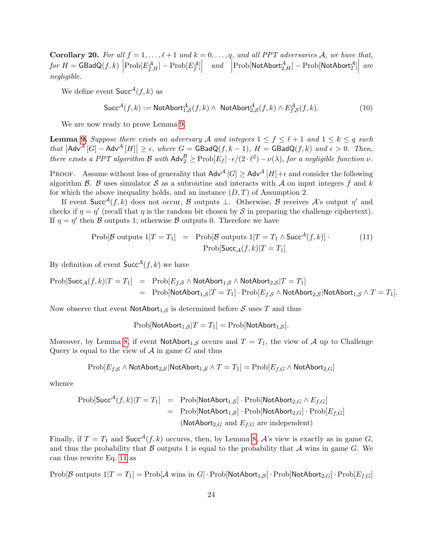<span id="page-24-1"></span>**Corollary 20.** For all  $f = 1, ..., \ell + 1$  and  $k = 0, ..., q$ , and all PPT adversaries A, we have that,  $for H = \textsf{GBadQ}(f, k) \left| \text{Prob}[E_{f,H}^{\mathcal{A}}] - \text{Prob}[E_{f}^{\mathcal{A}}] \right|$  $and \quad \left| \text{Prob}[\textsf{NotAbort}_{2,H}^{\mathcal{A}}]-\text{Prob}[\textsf{NotAbort}_{2}^{\mathcal{A}}] \right|$ are negligible.

We define event  $\mathsf{Succ}^{\mathcal{A}}(f, k)$  as

$$
\mathsf{Succ}^{\mathcal{A}}(f,k) := \mathsf{NotAbort}_{1,\mathcal{S}}^{\mathcal{A}}(f,k) \land \mathsf{NotAbort}_{2,\mathcal{S}}^{\mathcal{A}}(f,k) \land E_{f,\mathcal{S}}^{\mathcal{A}}(f,k).
$$
\n(10)

We are now ready to prove Lemma [9.](#page-12-0)

**Lemma [9.](#page-12-0)** Suppose there exists an adversary A and integers  $1 \leq f \leq \ell + 1$  and  $1 \leq k \leq q$  such that  $|\mathsf{Adv}^{\mathcal{A}}[G] - \mathsf{Adv}^{\mathcal{A}}[H]| \geq \epsilon$ , where  $G = \mathsf{GBadQ}(f, k - 1)$ ,  $H = \mathsf{GBadQ}(f, k)$  and  $\epsilon > 0$ . Then, there exists a PPT algorithm B with  $\mathsf{Adv}^{\mathcal{B}}_2 \ge \text{Prob}[E_f] \cdot \epsilon/(2 \cdot \ell^2) - \nu(\lambda)$ , for a negligible function  $\nu$ .

PROOF. Assume without loss of generality that  $\mathsf{Adv}^{\mathcal{A}}[G] \geq \mathsf{Adv}^{\mathcal{A}}[H] + \epsilon$  and consider the following algorithm  $\beta$ .  $\beta$  uses simulator  $\delta$  as a subroutine and interacts with  $\mathcal A$  on input integers f and k for which the above inequality holds, and an instance  $(D, T)$  of Assumption 2.

If event Succ<sup> $\mathcal{A}(f, k)$ </sup> does not occur,  $\mathcal B$  outputs  $\perp$ . Otherwise,  $\mathcal B$  receives  $\mathcal A$ 's output  $\eta'$  and checks if  $\eta = \eta'$  (recall that  $\eta$  is the random bit chosen by S in preparing the challenge ciphertext). If  $\eta = \eta'$  then B outputs 1; otherwise B outputs 0. Therefore we have

<span id="page-24-0"></span>
$$
\text{Prob}[\mathcal{B} \text{ outputs } 1 | T = T_1] = \text{Prob}[\mathcal{B} \text{ outputs } 1 | T = T_1 \land \text{Succ}^{\mathcal{A}}(f, k)] \tag{11}
$$
\n
$$
\text{Prob}[\text{Succ}_{\mathcal{A}}(f, k) | T = T_1]
$$

By definition of event  $Succ<sup>A</sup>(f, k)$  we have

$$
\text{Prob}[\text{Succ}_{\mathcal{A}}(f,k)|T=T_1] = \text{Prob}[E_{f,\mathcal{S}} \wedge \text{NotAbort}_{1,\mathcal{S}} \wedge \text{NotAbort}_{2,\mathcal{S}}|T=T_1] \n= \text{Prob}[\text{NotAbort}_{1,\mathcal{S}}|T=T_1] \cdot \text{Prob}[E_{f,\mathcal{S}} \wedge \text{NotAbort}_{2,\mathcal{S}}|\text{NotAbort}_{1,\mathcal{S}} \wedge T=T_1].
$$

Now observe that event  $\text{NotAbort}_{1,\mathcal{S}}$  is determined before  $\mathcal S$  uses T and thus

 $Prob[NotAbstract<sub>1,S</sub> | T = T<sub>1</sub>] = Prob[NotAbstract<sub>1,S</sub>].$ 

Moreover, by Lemma [8,](#page-12-2) if event  $\mathsf{NotAbort}_{1,\mathcal{S}}$  occurs and  $T = T_1$ , the view of A up to Challenge Query is equal to the view of  $A$  in game  $G$  and thus

$$
\text{Prob}[E_{f,\mathcal{S}} \land \text{NotAbort}_{2,\mathcal{S}} | \text{NotAbort}_{1,\mathcal{S}} \land T = T_1] = \text{Prob}[E_{f,G} \land \text{NotAbort}_{2,G}]
$$

whence

$$
\begin{array}{rcl}\n\text{Prob}[\text{Succ}^{\mathcal{A}}(f,k)|T=T_1] & = & \text{Prob}[\text{NotAbout}_{1,S}] \cdot \text{Prob}[\text{NotAbout}_{2,G} \land E_{f,G}] \\
& = & \text{Prob}[\text{NotAbout}_{1,S}] \cdot \text{Prob}[\text{NotAbout}_{2,G}] \cdot \text{Prob}[E_{f,G}] \\
& & (\text{NotAbout}_{2,G} \text{ and } E_{f,G} \text{ are independent})\n\end{array}
$$

Finally, if  $T = T_1$  and  $Succ^{\mathcal{A}}(f, k)$  occures, then, by Lemma [8,](#page-12-2)  $\mathcal{A}$ 's view is exactly as in game G, and thus the probability that  $\beta$  outputs 1 is equal to the probability that  $\mathcal A$  wins in game  $G$ . We can thus rewrite Eq. [11](#page-24-0) as

Prob[B outputs  $1|T = T_1|$  = Prob[A wins in G] · Prob[NotAbort<sub>1,S</sub>] · Prob[NotAbort<sub>2,G</sub>] · Prob[ $E_{f,G}$ ]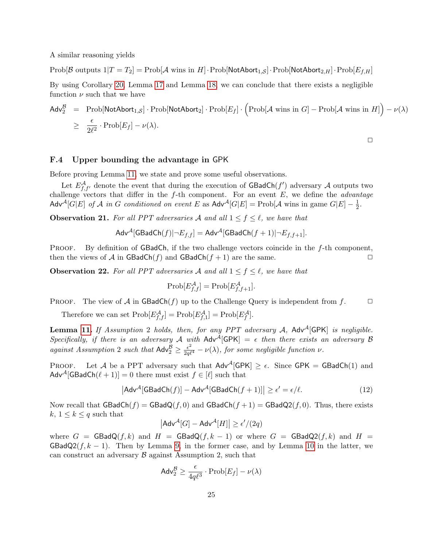A similar reasoning yields

Prob[B outputs  $1|T = T_2|$  = Prob[A wins in H]·Prob[NotAbort<sub>1,S</sub>]·Prob[NotAbort<sub>2,H</sub>]·Prob[ $E_{f,H}$ ]

By using Corollary [20,](#page-24-1) Lemma [17](#page-23-1) and Lemma [18,](#page-23-3) we can conclude that there exists a negligible function  $\nu$  such that we have

$$
\begin{array}{rcl}\n\mathsf{Adv}_{2}^{\mathcal{B}} & = & \mathrm{Prob}[\mathsf{NotAbort}_{1,\mathcal{S}}] \cdot \mathrm{Prob}[\mathsf{NotAbort}_{2}] \cdot \mathrm{Prob}[E_{f}] \cdot \Big(\mathrm{Prob}[\mathcal{A} \text{ wins in } G] - \mathrm{Prob}[\mathcal{A} \text{ wins in } H]\Big) - \nu(\lambda) \\
& \geq & \frac{\epsilon}{2\ell^{2}} \cdot \mathrm{Prob}[E_{f}] - \nu(\lambda).\n\end{array}
$$

 $\Box$ 

### <span id="page-25-0"></span>F.4 Upper bounding the advantage in GPK

Before proving Lemma [11,](#page-12-1) we state and prove some useful observations.

Let  $E_{f,f'}^{\mathcal{A}}$  denote the event that during the execution of GBadCh(f') adversary  $\mathcal{A}$  outputs two challenge vectors that differ in the  $f$ -th component. For an event  $E$ , we define the *advantage* Adv<sup>A</sup>[G|E] of A in G conditioned on event E as Adv<sup>A</sup>[G|E] = Prob[A wins in game G|E] –  $\frac{1}{2}$  $\frac{1}{2}$ .

<span id="page-25-2"></span>**Observation 21.** For all PPT adversaries A and all  $1 \leq f \leq \ell$ , we have that

$$
\mathsf{Adv}^{\mathcal{A}}[\mathsf{GBadCh}(f)|\neg E_{f,f}] = \mathsf{Adv}^{\mathcal{A}}[\mathsf{GBadCh}(f+1)|\neg E_{f,f+1}].
$$

**PROOF.** By definition of GBadCh, if the two challenge vectors coincide in the  $f$ -th component, then the views of A in  $\textsf{GBadCh}(f)$  and  $\textsf{GBadCh}(f+1)$  are the same.

<span id="page-25-3"></span>**Observation 22.** For all PPT adversaries A and all  $1 \leq f \leq \ell$ , we have that

$$
Prob[E_{f,f}^{\mathcal{A}}] = Prob[E_{f,f+1}^{\mathcal{A}}].
$$

PROOF. The view of A in GBadCh(f) up to the Challenge Query is independent from  $f$ .

Therefore we can set  $\text{Prob}[E_{f,f}^{\mathcal{A}}] = \text{Prob}[E_{f,1}^{\mathcal{A}}] = \text{Prob}[E_f^{\mathcal{A}}].$ 

**Lemma [11.](#page-12-1)** If Assumption 2 holds, then, for any PPT adversary  $A$ ,  $Adv^A[GPK]$  is negligible. Specifically, if there is an adversary A with  $Adv^{\tilde{A}}[GPK] = \epsilon$  then there exists an adversary B against Assumption 2 such that  $\mathsf{Adv}_{2}^{\mathcal{B}} \geq \frac{\epsilon^{2}}{2q\ell^{4}} - \nu(\lambda)$ , for some negligible function  $\nu$ .

PROOF. Let A be a PPT adversary such that  $Adv^{\mathcal{A}}[GPK] \geq \epsilon$ . Since GPK = GBadCh(1) and Adv<sup>A</sup>[GBadCh( $\ell + 1$ ]] = 0 there must exist  $f \in [\ell]$  such that

<span id="page-25-1"></span>
$$
|\mathsf{Adv}^{\mathcal{A}}[\mathsf{GBadCh}(f)] - \mathsf{Adv}^{\mathcal{A}}[\mathsf{GBadCh}(f+1)]| \ge \epsilon' = \epsilon/\ell. \tag{12}
$$

Now recall that  $GBadCh(f) = GBadQ(f, 0)$  and  $GBadCh(f + 1) = GBadQ2(f, 0)$ . Thus, there exists k,  $1 \leq k \leq q$  such that

$$
\left|\mathsf{Adv}^{\mathcal{A}}[G] - \mathsf{Adv}^{\mathcal{A}}[H]\right| \ge \epsilon'/(2q)
$$

where  $G = \text{GBadQ}(f, k)$  and  $H = \text{GBadQ}(f, k - 1)$  or where  $G = \text{GBadQ}(f, k)$  and  $H =$ GBadQ2(f, k – 1). Then by Lemma [9,](#page-12-0) in the former case, and by Lemma [10](#page-12-3) in the latter, we can construct an adversary  $\beta$  against Assumption 2, such that

$$
\mathsf{Adv}_2^{\mathcal{B}} \geq \frac{\epsilon}{4q\ell^3} \cdot \mathrm{Prob}[E_f] - \nu(\lambda)
$$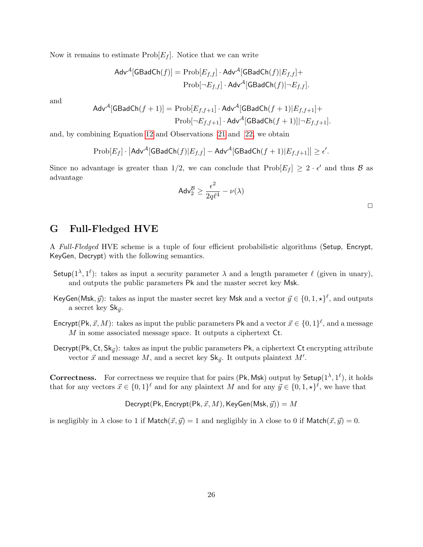Now it remains to estimate  $\text{Prob}[E_f]$ . Notice that we can write

$$
\mathsf{Adv}^{\mathcal{A}}[\mathsf{GBadCh}(f)] = \mathrm{Prob}[E_{f,f}] \cdot \mathsf{Adv}^{\mathcal{A}}[\mathsf{GBadCh}(f)|E_{f,f}] +
$$

$$
\mathrm{Prob}[\neg E_{f,f}] \cdot \mathsf{Adv}^{\mathcal{A}}[\mathsf{GBadCh}(f)|\neg E_{f,f}].
$$

and

$$
\mathsf{Adv}^{\mathcal{A}}[\mathsf{GBadCh}(f+1)] = \mathrm{Prob}[E_{f,f+1}] \cdot \mathsf{Adv}^{\mathcal{A}}[\mathsf{GBadCh}(f+1)|E_{f,f+1}] + \\ \mathrm{Prob}[\neg E_{f,f+1}] \cdot \mathsf{Adv}^{\mathcal{A}}[\mathsf{GBadCh}(f+1)]|\neg E_{f,f+1}].
$$

and, by combining Equation [12](#page-25-1) and Observations [21](#page-25-2) and [22,](#page-25-3) we obtain

$$
\text{Prob}[E_f] \cdot \left| \mathsf{Adv}^{\mathcal{A}}[\mathsf{GBadCh}(f)|E_{f,f}] - \mathsf{Adv}^{\mathcal{A}}[\mathsf{GBadCh}(f+1)|E_{f,f+1}] \right| \ge \epsilon'.
$$

Since no advantage is greater than 1/2, we can conclude that  $\text{Prob}[E_f] \geq 2 \cdot \epsilon'$  and thus  $\beta$  as advantage

$$
\mathsf{Adv}_2^{\mathcal{B}} \geq \frac{\epsilon^2}{2q\ell^4} - \nu(\lambda)
$$

# <span id="page-26-0"></span>G Full-Fledged HVE

A Full-Fledged HVE scheme is a tuple of four efficient probabilistic algorithms (Setup, Encrypt, KeyGen, Decrypt) with the following semantics.

- Setup( $1^{\lambda}, 1^{\ell}$ ): takes as input a security parameter  $\lambda$  and a length parameter  $\ell$  (given in unary), and outputs the public parameters Pk and the master secret key Msk.
- KeyGen(Msk,  $\vec{y}$ ): takes as input the master secret key Msk and a vector  $\vec{y} \in \{0, 1, \star\}^{\ell}$ , and outputs a secret key  $\mathsf{Sk}_{\vec{u}}$ .
- Encrypt(Pk,  $\vec{x}, M$ ): takes as input the public parameters Pk and a vector  $\vec{x} \in \{0, 1\}^{\ell}$ , and a message M in some associated message space. It outputs a ciphertext Ct.
- Decrypt(Pk, Ct, Sk<sub> $\vec{y}$ </sub>): takes as input the public parameters Pk, a ciphertext Ct encrypting attribute vector  $\vec{x}$  and message M, and a secret key  $\mathsf{Sk}_{\vec{y}}$ . It outputs plaintext M'.

**Correctness.** For correctness we require that for pairs (Pk, Msk) output by Setup( $1^{\lambda}, 1^{\ell}$ ), it holds that for any vectors  $\vec{x} \in \{0,1\}^{\ell}$  and for any plaintext M and for any  $\vec{y} \in \{0,1,\star\}^{\ell}$ , we have that

$$
^{
$$
Decrypt(Pk, Encrypt(Pk,  $\vec{x}, M$ ), KeyGen(Msk,  $\vec{y}$ )) = M

is negligibly in  $\lambda$  close to 1 if Match $(\vec{x}, \vec{y}) = 1$  and negligibly in  $\lambda$  close to 0 if Match $(\vec{x}, \vec{y}) = 0$ .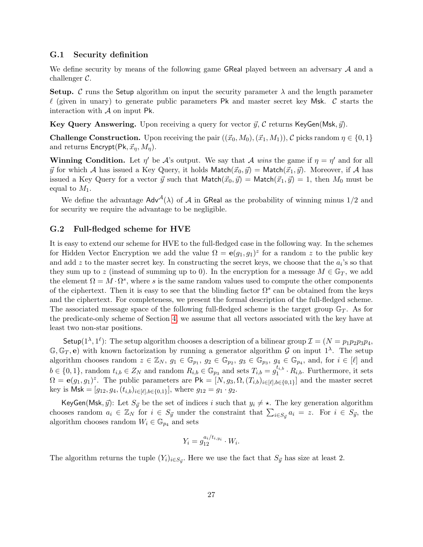### G.1 Security definition

We define security by means of the following game GReal played between an adversary A and a challenger C.

**Setup.** C runs the Setup algorithm on input the security parameter  $\lambda$  and the length parameter  $\ell$  (given in unary) to generate public parameters Pk and master secret key Msk. C starts the interaction with A on input Pk.

Key Query Answering. Upon receiving a query for vector  $\vec{y}$ , C returns KeyGen(Msk,  $\vec{y}$ ).

**Challenge Construction.** Upon receiving the pair  $((\vec{x}_0, M_0), (\vec{x}_1, M_1)),$  C picks random  $\eta \in \{0, 1\}$ and returns  $\mathsf{Encrypt}(\mathsf{Pk}, \vec{x}_\eta, M_\eta).$ 

**Winning Condition.** Let  $\eta'$  be A's output. We say that A wins the game if  $\eta = \eta'$  and for all  $\vec{y}$  for which A has issued a Key Query, it holds Match $(\vec{x}_0, \vec{y}) = \mathsf{Match}(\vec{x}_1, \vec{y})$ . Moreover, if A has issued a Key Query for a vector  $\vec{y}$  such that Match $(\vec{x}_0, \vec{y}) = \text{Match}(\vec{x}_1, \vec{y}) = 1$ , then  $M_0$  must be equal to  $M_1$ .

We define the advantage  $Adv^{\mathcal{A}}(\lambda)$  of  $\mathcal A$  in GReal as the probability of winning minus 1/2 and for security we require the advantage to be negligible.

#### G.2 Full-fledged scheme for HVE

It is easy to extend our scheme for HVE to the full-fledged case in the following way. In the schemes for Hidden Vector Encryption we add the value  $\Omega = e(g_1, g_1)^z$  for a random z to the public key and add z to the master secret key. In constructing the secret keys, we choose that the  $a_i$ 's so that they sum up to z (instead of summing up to 0). In the encryption for a message  $M \in \mathbb{G}_T$ , we add the element  $\Omega = M \cdot \Omega^s$ , where s is the same random values used to compute the other components of the ciphertext. Then it is easy to see that the blinding factor  $\Omega^s$  can be obtained from the keys and the ciphertext. For completeness, we present the formal description of the full-fledged scheme. The associated message space of the following full-fledged scheme is the target group  $\mathbb{G}_T$ . As for the predicate-only scheme of Section [4,](#page-4-0) we assume that all vectors associated with the key have at least two non-star positions.

Setup( $1^{\lambda}, 1^{\ell}$ ): The setup algorithm chooses a description of a bilinear group  $\mathcal{I} = (N = p_1p_2p_3p_4,$  $\mathbb{G}, \mathbb{G}_T, e$  with known factorization by running a generator algorithm G on input  $1^{\lambda}$ . The setup algorithm chooses random  $z \in \mathbb{Z}_N$ ,  $g_1 \in \mathbb{G}_{p_1}$ ,  $g_2 \in \mathbb{G}_{p_2}$ ,  $g_3 \in \mathbb{G}_{p_3}$ ,  $g_4 \in \mathbb{G}_{p_4}$ , and, for  $i \in [\ell]$  and  $b \in \{0, 1\}$ , random  $t_{i,b} \in Z_N$  and random  $R_{i,b} \in \mathbb{G}_{p_3}$  and sets  $T_{i,b} = g_1^{t_{i,b}}$  $i_1^{i_1, b} \cdot R_{i, b}$ . Furthermore, it sets  $\Omega = \mathbf{e}(g_1, g_1)^z$ . The public parameters are  $\mathsf{Pk} = [N, g_3, \Omega, (T_{i,b})_{i \in [\ell], b \in \{0,1\}}]$  and the master secret key is  $\mathsf{Msk} = [g_{12}, g_4, (t_{i,b})_{i \in [\ell], b \in \{0,1\}}]$ , where  $g_{12} = g_1 \cdot g_2$ .

KeyGen(Msk,  $\vec{y}$ ): Let  $S_{\vec{y}}$  be the set of indices i such that  $y_i \neq \star$ . The key generation algorithm chooses random  $a_i \in \mathbb{Z}_N$  for  $i \in S_{\vec{y}}$  under the constraint that  $\sum_{i \in S_{\vec{y}}} a_i = z$ . For  $i \in S_{\vec{y}}$ , the algorithm chooses random  $W_i \in \mathbb{G}_{p_4}$  and sets

$$
Y_i = g_{12}^{a_i/t_{i,y_i}} \cdot W_i.
$$

The algorithm returns the tuple  $(Y_i)_{i \in S_{\vec{y}}}$ . Here we use the fact that  $S_{\vec{y}}$  has size at least 2.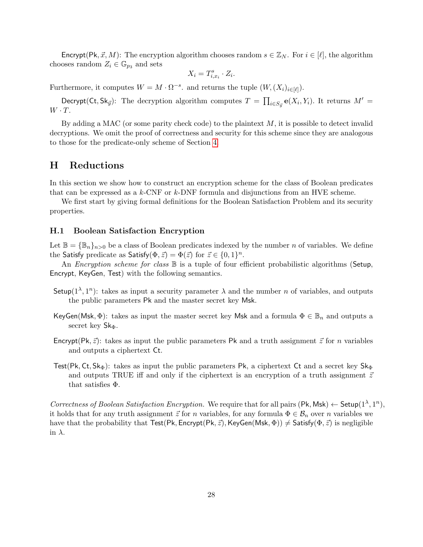Encrypt(Pk,  $\vec{x}, M$ ): The encryption algorithm chooses random  $s \in \mathbb{Z}_N$ . For  $i \in [\ell]$ , the algorithm chooses random  $Z_i \in \mathbb{G}_{p_3}$  and sets

$$
X_i = T_{i,x_i}^s \cdot Z_i.
$$

Furthermore, it computes  $W = M \cdot \Omega^{-s}$ . and returns the tuple  $(W, (X_i)_{i \in [\ell]}).$ 

Decrypt(Ct, Sk<sub>y</sub>): The decryption algorithm computes  $T = \prod_{i \in S_{ij}} e(X_i, Y_i)$ . It returns  $M' =$  $W \cdot T$ .

By adding a MAC (or some parity check code) to the plaintext  $M$ , it is possible to detect invalid decryptions. We omit the proof of correctness and security for this scheme since they are analogous to those for the predicate-only scheme of Section [4.](#page-4-0)

### <span id="page-28-0"></span>H Reductions

In this section we show how to construct an encryption scheme for the class of Boolean predicates that can be expressed as a k-CNF or k-DNF formula and disjunctions from an HVE scheme.

We first start by giving formal definitions for the Boolean Satisfaction Problem and its security properties.

### H.1 Boolean Satisfaction Encryption

Let  $\mathbb{B} = {\mathbb{B}_n}_{n \geq 0}$  be a class of Boolean predicates indexed by the number n of variables. We define the Satisfy predicate as Satisfy  $(\Phi, \vec{z}) = \Phi(\vec{z})$  for  $\vec{z} \in \{0, 1\}^n$ .

An *Encryption scheme for class*  $\mathbb B$  is a tuple of four efficient probabilistic algorithms (Setup, Encrypt, KeyGen, Test) with the following semantics.

- Setup( $1^{\lambda}, 1^{n}$ ): takes as input a security parameter  $\lambda$  and the number *n* of variables, and outputs the public parameters Pk and the master secret key Msk.
- KeyGen(Msk,  $\Phi$ ): takes as input the master secret key Msk and a formula  $\Phi \in \mathbb{B}_n$  and outputs a secret key  $\mathsf{Sk}_{\Phi}$ .
- Encrypt(Pk,  $\vec{z}$ ): takes as input the public parameters Pk and a truth assignment  $\vec{z}$  for n variables and outputs a ciphertext Ct.
- Test(Pk, Ct, Sk $_{\Phi}$ ): takes as input the public parameters Pk, a ciphertext Ct and a secret key Sk $_{\Phi}$ and outputs TRUE iff and only if the ciphertext is an encryption of a truth assignment  $\vec{z}$ that satisfies Φ.

Correctness of Boolean Satisfaction Encryption. We require that for all pairs  $(\mathsf{Pk}, \mathsf{Msk}) \leftarrow \mathsf{Setup}(1^{\lambda}, 1^n)$ , it holds that for any truth assignment  $\vec{z}$  for n variables, for any formula  $\Phi \in \mathcal{B}_n$  over n variables we have that the probability that Test(Pk, Encrypt(Pk,  $\vec{z}$ ), KeyGen(Msk,  $\Phi$ ))  $\neq$  Satisfy( $\Phi$ ,  $\vec{z}$ ) is negligible in  $\lambda$ .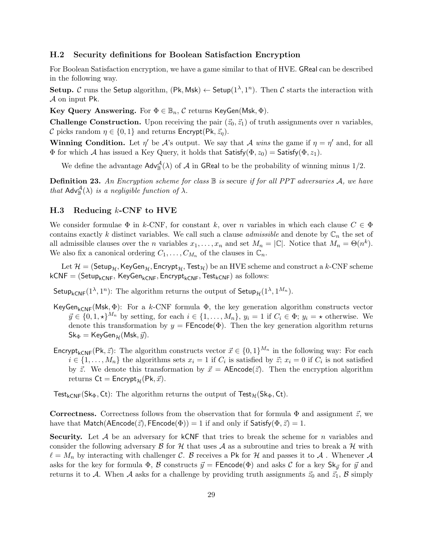### H.2 Security definitions for Boolean Satisfaction Encryption

For Boolean Satisfaction encryption, we have a game similar to that of HVE. GReal can be described in the following way.

Setup. C runs the Setup algorithm,  $(\mathsf{Pk}, \mathsf{Msk}) \leftarrow \mathsf{Setup}(1^{\lambda}, 1^n)$ . Then C starts the interaction with A on input Pk.

Key Query Answering. For  $\Phi \in \mathbb{B}_n$ , C returns KeyGen(Msk,  $\Phi$ ).

**Challenge Construction.** Upon receiving the pair  $(\vec{z}_0, \vec{z}_1)$  of truth assignments over *n* variables, C picks random  $\eta \in \{0,1\}$  and returns Encrypt(Pk,  $\vec{z}_n$ ).

**Winning Condition.** Let  $\eta'$  be A's output. We say that A wins the game if  $\eta = \eta'$  and, for all  $\Phi$  for which A has issued a Key Query, it holds that Satisfy( $\Phi$ ,  $z_0$ ) = Satisfy( $\Phi$ ,  $z_1$ ).

We define the advantage  $\mathsf{Adv}_{\mathbb{B}}^{\mathcal{A}}(\lambda)$  of  $\mathcal A$  in GReal to be the probability of winning minus 1/2.

**Definition 23.** An Encryption scheme for class  $\mathbb B$  is secure if for all PPT adversaries  $\mathcal A$ , we have that  $\mathsf{Adv}_{\mathbb{B}}^{\mathcal{A}}(\lambda)$  is a negligible function of  $\lambda$ .

### $H.3$  Reducing  $k$ -CNF to HVE

We consider formulae  $\Phi$  in k-CNF, for constant k, over n variables in which each clause  $C \in \Phi$ contains exactly k distinct variables. We call such a clause *admissible* and denote by  $\mathbb{C}_n$  the set of all admissible clauses over the *n* variables  $x_1, \ldots, x_n$  and set  $M_n = |\mathbb{C}|$ . Notice that  $M_n = \Theta(n^k)$ . We also fix a canonical ordering  $C_1, \ldots, C_{M_n}$  of the clauses in  $\mathbb{C}_n$ .

Let  $\mathcal{H} = ($ Setup<sub>H</sub>, KeyGen<sub>H</sub>, Encrypt<sub>H</sub>, Test<sub>H</sub>) be an HVE scheme and construct a k-CNF scheme  $kCNF = (Setup_{kCNF}, KeyGen_{kCNF}, Encryption_{kCNF}, Test_{kCNF})$  as follows:

Setup<sub>kCNF</sub>(1<sup> $\lambda$ </sup>, 1<sup>n</sup>): The algorithm returns the output of Setup<sub>H</sub>(1<sup> $\lambda$ </sup>, 1<sup>M<sub>n</sub></sup>).

- KeyGen<sub>kCNF</sub>(Msk,  $\Phi$ ): For a k-CNF formula  $\Phi$ , the key generation algorithm constructs vector  $\vec{y} \in \{0, 1, \star\}^{M_n}$  by setting, for each  $i \in \{1, ..., M_n\}$ ,  $y_i = 1$  if  $C_i \in \Phi$ ;  $y_i = \star$  otherwise. We denote this transformation by  $y = \text{FEncode}(\Phi)$ . Then the key generation algorithm returns  $\mathsf{Sk}_{\Phi} = \mathsf{KeyGen}_{\mathcal{H}}(\mathsf{Msk}, \vec{y}).$
- Encrypt<sub>kCNF</sub>(Pk,  $\vec{z}$ ): The algorithm constructs vector  $\vec{x} \in \{0, 1\}^{M_n}$  in the following way: For each  $i \in \{1, \ldots, M_n\}$  the algorithms sets  $x_i = 1$  if  $C_i$  is satisfied by  $\vec{z}$ ;  $x_i = 0$  if  $C_i$  is not satisfied by  $\vec{z}$ . We denote this transformation by  $\vec{x} = \mathsf{AEncode}(\vec{z})$ . Then the encryption algorithm returns  $\mathsf{C} \mathsf{t} = \mathsf{Encrypt}_{\mathcal{H}}(\mathsf{Pk}, \vec{x}).$

Test<sub>kCNF</sub>(Sk<sub>Φ</sub>, Ct): The algorithm returns the output of  $Test_{\mathcal{H}}(Sk_{\Phi}, Ct)$ .

**Correctness.** Correctness follows from the observation that for formula  $\Phi$  and assignment  $\vec{z}$ , we have that Match(AEncode( $\vec{z}$ ), FEncode( $\Phi$ )) = 1 if and only if Satisfy( $\Phi$ ,  $\vec{z}$ ) = 1.

**Security.** Let A be an adversary for kCNF that tries to break the scheme for n variables and consider the following adversary  $\beta$  for  $\mathcal{H}$  that uses  $\mathcal{A}$  as a subroutine and tries to break a  $\mathcal{H}$  with  $\ell = M_n$  by interacting with challenger C. B receives a Pk for H and passes it to A. Whenever A asks for the key for formula  $\Phi$ , B constructs  $\vec{y} = \text{FEncode}(\Phi)$  and asks C for a key Sk $_{\vec{y}}$  for  $\vec{y}$  and returns it to A. When A asks for a challenge by providing truth assignments  $\vec{z}_0$  and  $\vec{z}_1$ , B simply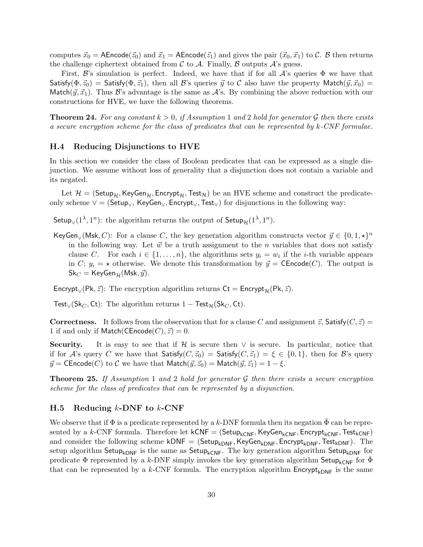computes  $\vec{x}_0 = \mathsf{A}\mathsf{Encode}(\vec{z}_0)$  and  $\vec{x}_1 = \mathsf{A}\mathsf{Encode}(\vec{z}_1)$  and gives the pair  $(\vec{x}_0, \vec{x}_1)$  to  $\mathcal{C}$ . B then returns the challenge ciphertext obtained from  $\mathcal C$  to  $\mathcal A$ . Finally,  $\mathcal B$  outputs  $\mathcal A$ 's guess.

First,  $\mathcal{B}'$ 's simulation is perfect. Indeed, we have that if for all  $\mathcal{A}'$ 's queries  $\Phi$  we have that Satisfy( $\Phi$ ,  $\vec{z}_0$ ) = Satisfy( $\Phi$ ,  $\vec{z}_1$ ), then all B's queries  $\vec{y}$  to C also have the property Match( $\vec{y}, \vec{x}_0$ ) = Match( $(\vec{y}, \vec{x}_1)$ ). Thus B's advantage is the same as A's. By combining the above reduction with our constructions for HVE, we have the following theorems.

<span id="page-30-0"></span>**Theorem 24.** For any constant  $k > 0$ , if Assumption 1 and 2 hold for generator G then there exists a secure encryption scheme for the class of predicates that can be represented by  $k$ -CNF formulae.

#### H.4 Reducing Disjunctions to HVE

In this section we consider the class of Boolean predicates that can be expressed as a single disjunction. We assume without loss of generality that a disjunction does not contain a variable and its negated.

Let  $\mathcal{H} = ($ Setup<sub>H</sub>, KeyGen<sub>H</sub>, Encrypt<sub>H</sub>, Test<sub>H</sub>) be an HVE scheme and construct the predicateonly scheme  $\vee$  = (Setup<sub>∨</sub>, KeyGen<sub>∨</sub>, Encrypt<sub>∨</sub>, Test<sub>√</sub>) for disjunctions in the following way:

Setup<sub>V</sub>(1<sup> $\lambda$ </sup>, 1<sup>n</sup>): the algorithm returns the output of Setup<sub>H</sub>(1<sup> $\lambda$ </sup>, 1<sup>n</sup>).

KeyGen<sub>∨</sub>(Msk, C): For a clause C, the key generation algorithm constructs vector  $\vec{y} \in \{0, 1, \star\}^n$ in the following way. Let  $\vec{w}$  be a truth assignment to the n variables that does not satisfy clause C. For each  $i \in \{1, \ldots, n\}$ , the algorithms sets  $y_i = w_i$  if the *i*-th variable appears in C;  $y_i = \star$  otherwise. We denote this transformation by  $\vec{y} = \mathsf{CEncode}(C)$ . The output is  $\mathsf{Sk}_C = \mathsf{KeyGen}_{\mathcal{H}}(\mathsf{Msk}, \vec{y}).$ 

Encrypt<sub>∨</sub>(Pk,  $\vec{z}$ ): The encryption algorithm returns Ct = Encrypt<sub>H</sub>(Pk,  $\vec{z}$ ).

Test<sub>∨</sub>(Sk<sub>C</sub>, Ct): The algorithm returns 1 – Test<sub>H</sub>(Sk<sub>C</sub>, Ct).

**Correctness.** It follows from the observation that for a clause C and assignment  $\vec{z}$ , Satisfy( $C, \vec{z}$ ) = 1 if and only if Match(CEncode(C),  $\vec{z}$ ) = 0.

Security. It is easy to see that if  $H$  is secure then  $\vee$  is secure. In particular, notice that if for A's query C we have that  $\mathsf{Satisfy}(C, \vec{z}_0) = \mathsf{Satisfy}(C, \vec{z}_1) = \xi \in \{0, 1\}$ , then for B's query  $\vec{y}$  = CEncode(C) to C we have that Match( $\vec{y}, \vec{z}_0$ ) = Match( $\vec{y}, \vec{z}_1$ ) = 1 –  $\xi$ .

**Theorem 25.** If Assumption 1 and 2 hold for generator  $\mathcal G$  then there exists a secure encryption scheme for the class of predicates that can be represented by a disjunction.

#### H.5 Reducing  $k$ -DNF to  $k$ -CNF

We observe that if  $\Phi$  is a predicate represented by a k-DNF formula then its negation  $\Phi$  can be represented by a k-CNF formula. Therefore let  $kCNF = (Setup_{kCNF},KeyGen_{kCNF}, Encryptionity_{kCNF},Test_{kCNF})$ and consider the following scheme kDNF =  $(Setup_{kDNF},KeyGen_{kDNF},EnergyHom_F,Test_{kDNF})$ . The setup algorithm Setup<sub>kDNF</sub> is the same as Setup<sub>kCNF</sub>. The key generation algorithm Setup<sub>kDNF</sub> for predicate  $\Phi$  represented by a k-DNF simply invokes the key generation algorithm Setup<sub>kCNF</sub> for  $\Phi$ that can be represented by a k-CNF formula. The encryption algorithm  $\text{Encrypt}_{kDNF}$  is the same